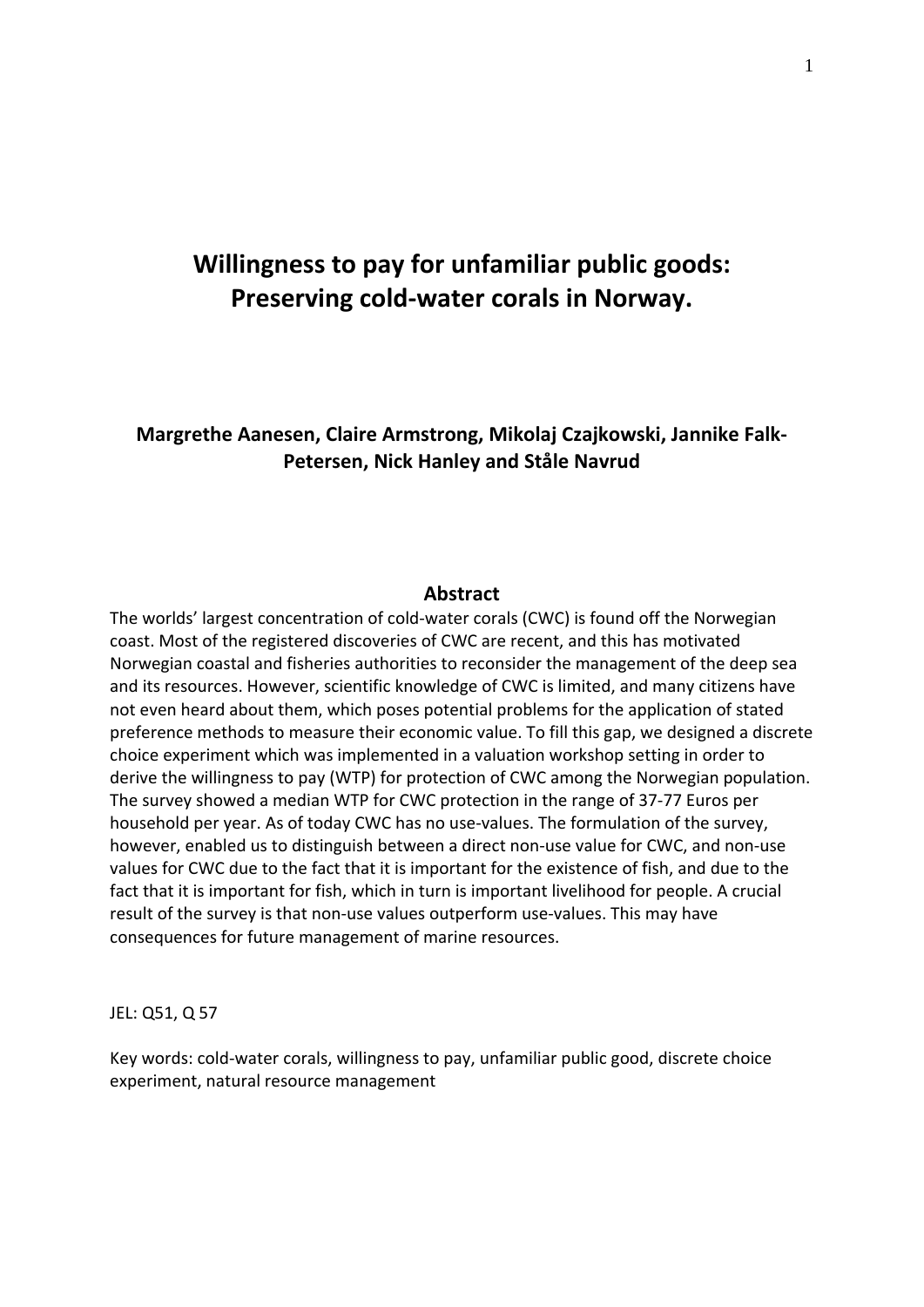### **Willingness to pay for unfamiliar public goods: Preserving cold‐water corals in Norway.**

#### **Margrethe Aanesen, Claire Armstrong, Mikolaj Czajkowski, Jannike Falk‐ Petersen, Nick Hanley and Ståle Navrud**

#### **Abstract**

The worlds' largest concentration of cold‐water corals (CWC) is found off the Norwegian coast. Most of the registered discoveries of CWC are recent, and this has motivated Norwegian coastal and fisheries authorities to reconsider the management of the deep sea and its resources. However, scientific knowledge of CWC is limited, and many citizens have not even heard about them, which poses potential problems for the application of stated preference methods to measure their economic value. To fill this gap, we designed a discrete choice experiment which was implemented in a valuation workshop setting in order to derive the willingness to pay (WTP) for protection of CWC among the Norwegian population. The survey showed a median WTP for CWC protection in the range of 37‐77 Euros per household per year. As of today CWC has no use-values. The formulation of the survey, however, enabled us to distinguish between a direct non-use value for CWC, and non-use values for CWC due to the fact that it is important for the existence of fish, and due to the fact that it is important for fish, which in turn is important livelihood for people. A crucial result of the survey is that non-use values outperform use-values. This may have consequences for future management of marine resources.

JEL: Q51, Q 57

Key words: cold‐water corals, willingness to pay, unfamiliar public good, discrete choice experiment, natural resource management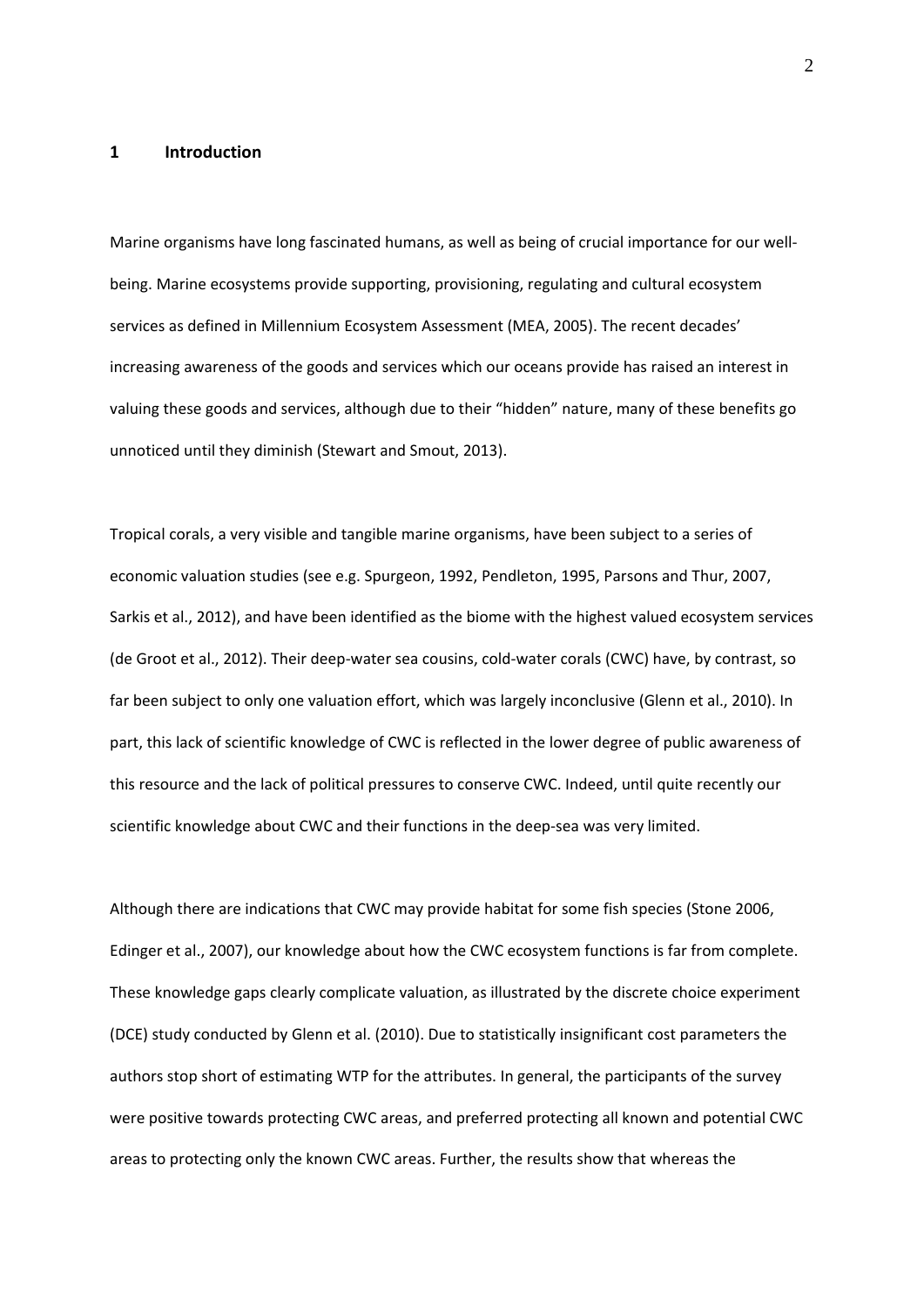#### **1 Introduction**

Marine organisms have long fascinated humans, as well as being of crucial importance for our wellbeing. Marine ecosystems provide supporting, provisioning, regulating and cultural ecosystem services as defined in Millennium Ecosystem Assessment (MEA, 2005). The recent decades' increasing awareness of the goods and services which our oceans provide has raised an interest in valuing these goods and services, although due to their "hidden" nature, many of these benefits go unnoticed until they diminish (Stewart and Smout, 2013).

Tropical corals, a very visible and tangible marine organisms, have been subject to a series of economic valuation studies (see e.g. Spurgeon, 1992, Pendleton, 1995, Parsons and Thur, 2007, Sarkis et al., 2012), and have been identified as the biome with the highest valued ecosystem services (de Groot et al., 2012). Their deep‐water sea cousins, cold‐water corals (CWC) have, by contrast, so far been subject to only one valuation effort, which was largely inconclusive (Glenn et al., 2010). In part, this lack of scientific knowledge of CWC is reflected in the lower degree of public awareness of this resource and the lack of political pressures to conserve CWC. Indeed, until quite recently our scientific knowledge about CWC and their functions in the deep‐sea was very limited.

Although there are indications that CWC may provide habitat for some fish species (Stone 2006, Edinger et al., 2007), our knowledge about how the CWC ecosystem functions is far from complete. These knowledge gaps clearly complicate valuation, as illustrated by the discrete choice experiment (DCE) study conducted by Glenn et al. (2010). Due to statistically insignificant cost parameters the authors stop short of estimating WTP for the attributes. In general, the participants of the survey were positive towards protecting CWC areas, and preferred protecting all known and potential CWC areas to protecting only the known CWC areas. Further, the results show that whereas the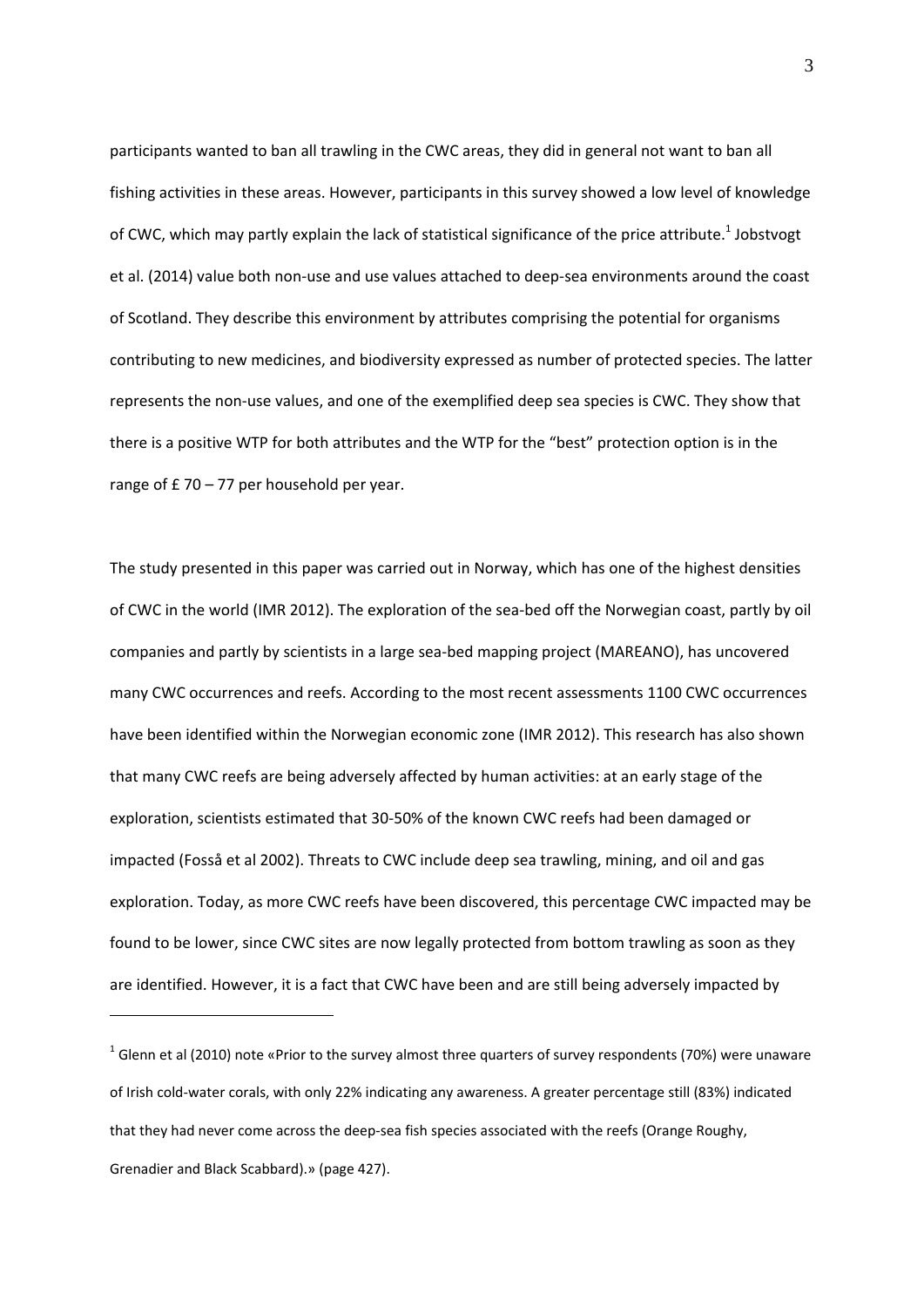participants wanted to ban all trawling in the CWC areas, they did in general not want to ban all fishing activities in these areas. However, participants in this survey showed a low level of knowledge of CWC, which may partly explain the lack of statistical significance of the price attribute.<sup>1</sup> Jobstvogt et al. (2014) value both non-use and use values attached to deep-sea environments around the coast of Scotland. They describe this environment by attributes comprising the potential for organisms contributing to new medicines, and biodiversity expressed as number of protected species. The latter represents the non‐use values, and one of the exemplified deep sea species is CWC. They show that there is a positive WTP for both attributes and the WTP for the "best" protection option is in the range of  $£$  70 – 77 per household per year.

The study presented in this paper was carried out in Norway, which has one of the highest densities of CWC in the world (IMR 2012). The exploration of the sea‐bed off the Norwegian coast, partly by oil companies and partly by scientists in a large sea‐bed mapping project (MAREANO), has uncovered many CWC occurrences and reefs. According to the most recent assessments 1100 CWC occurrences have been identified within the Norwegian economic zone (IMR 2012). This research has also shown that many CWC reefs are being adversely affected by human activities: at an early stage of the exploration, scientists estimated that 30‐50% of the known CWC reefs had been damaged or impacted (Fosså et al 2002). Threats to CWC include deep sea trawling, mining, and oil and gas exploration. Today, as more CWC reefs have been discovered, this percentage CWC impacted may be found to be lower, since CWC sites are now legally protected from bottom trawling as soon as they are identified. However, it is a fact that CWC have been and are still being adversely impacted by

1

 $1$  Glenn et al (2010) note «Prior to the survey almost three quarters of survey respondents (70%) were unaware of Irish cold‐water corals, with only 22% indicating any awareness. A greater percentage still (83%) indicated that they had never come across the deep‐sea fish species associated with the reefs (Orange Roughy, Grenadier and Black Scabbard).» (page 427).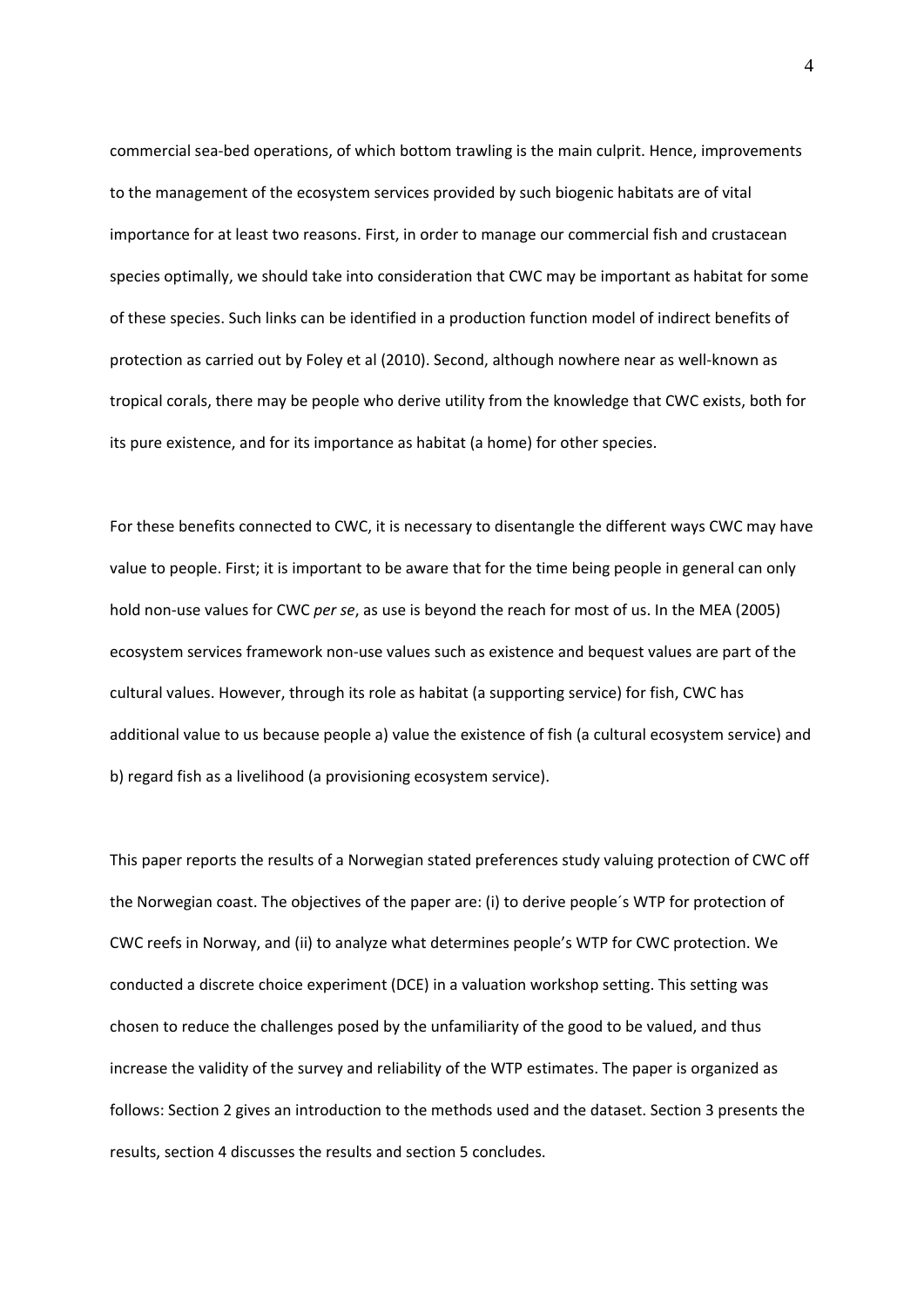commercial sea‐bed operations, of which bottom trawling is the main culprit. Hence, improvements to the management of the ecosystem services provided by such biogenic habitats are of vital importance for at least two reasons. First, in order to manage our commercial fish and crustacean species optimally, we should take into consideration that CWC may be important as habitat for some of these species. Such links can be identified in a production function model of indirect benefits of protection as carried out by Foley et al (2010). Second, although nowhere near as well‐known as tropical corals, there may be people who derive utility from the knowledge that CWC exists, both for its pure existence, and for its importance as habitat (a home) for other species.

For these benefits connected to CWC, it is necessary to disentangle the different ways CWC may have value to people. First; it is important to be aware that for the time being people in general can only hold non‐use values for CWC *per se*, as use is beyond the reach for most of us. In the MEA (2005) ecosystem services framework non‐use values such as existence and bequest values are part of the cultural values. However, through its role as habitat (a supporting service) for fish, CWC has additional value to us because people a) value the existence of fish (a cultural ecosystem service) and b) regard fish as a livelihood (a provisioning ecosystem service).

This paper reports the results of a Norwegian stated preferences study valuing protection of CWC off the Norwegian coast. The objectives of the paper are: (i) to derive people´s WTP for protection of CWC reefs in Norway, and (ii) to analyze what determines people's WTP for CWC protection. We conducted a discrete choice experiment (DCE) in a valuation workshop setting. This setting was chosen to reduce the challenges posed by the unfamiliarity of the good to be valued, and thus increase the validity of the survey and reliability of the WTP estimates. The paper is organized as follows: Section 2 gives an introduction to the methods used and the dataset. Section 3 presents the results, section 4 discusses the results and section 5 concludes.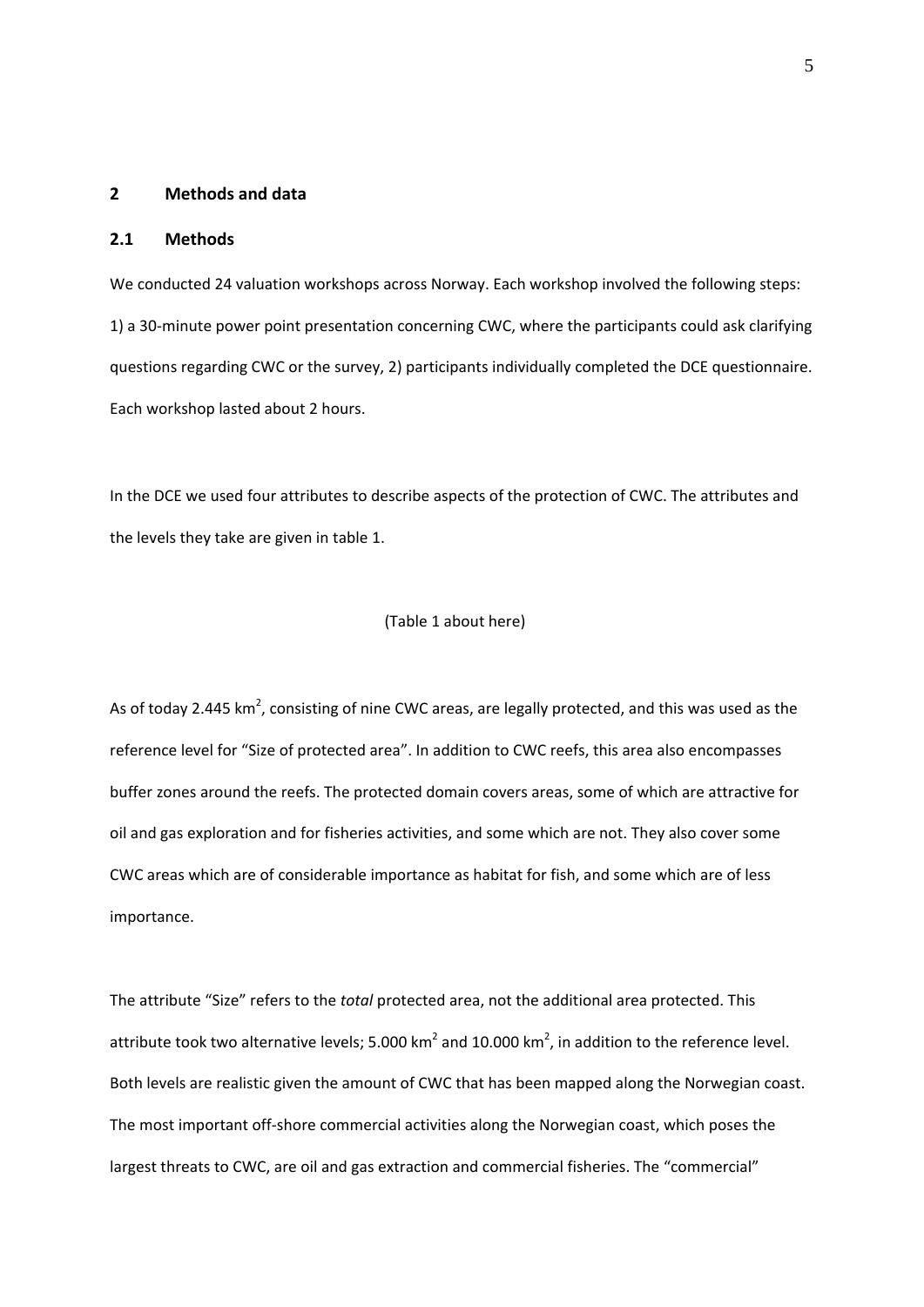#### **2 Methods and data**

#### **2.1 Methods**

We conducted 24 valuation workshops across Norway. Each workshop involved the following steps: 1) a 30‐minute power point presentation concerning CWC, where the participants could ask clarifying questions regarding CWC or the survey, 2) participants individually completed the DCE questionnaire. Each workshop lasted about 2 hours.

In the DCE we used four attributes to describe aspects of the protection of CWC. The attributes and the levels they take are given in table 1.

#### (Table 1 about here)

As of today 2.445 km<sup>2</sup>, consisting of nine CWC areas, are legally protected, and this was used as the reference level for "Size of protected area". In addition to CWC reefs, this area also encompasses buffer zones around the reefs. The protected domain covers areas, some of which are attractive for oil and gas exploration and for fisheries activities, and some which are not. They also cover some CWC areas which are of considerable importance as habitat for fish, and some which are of less importance.

The attribute "Size" refers to the *total* protected area, not the additional area protected. This attribute took two alternative levels; 5.000 km<sup>2</sup> and 10.000 km<sup>2</sup>, in addition to the reference level. Both levels are realistic given the amount of CWC that has been mapped along the Norwegian coast. The most important off‐shore commercial activities along the Norwegian coast, which poses the largest threats to CWC, are oil and gas extraction and commercial fisheries. The "commercial"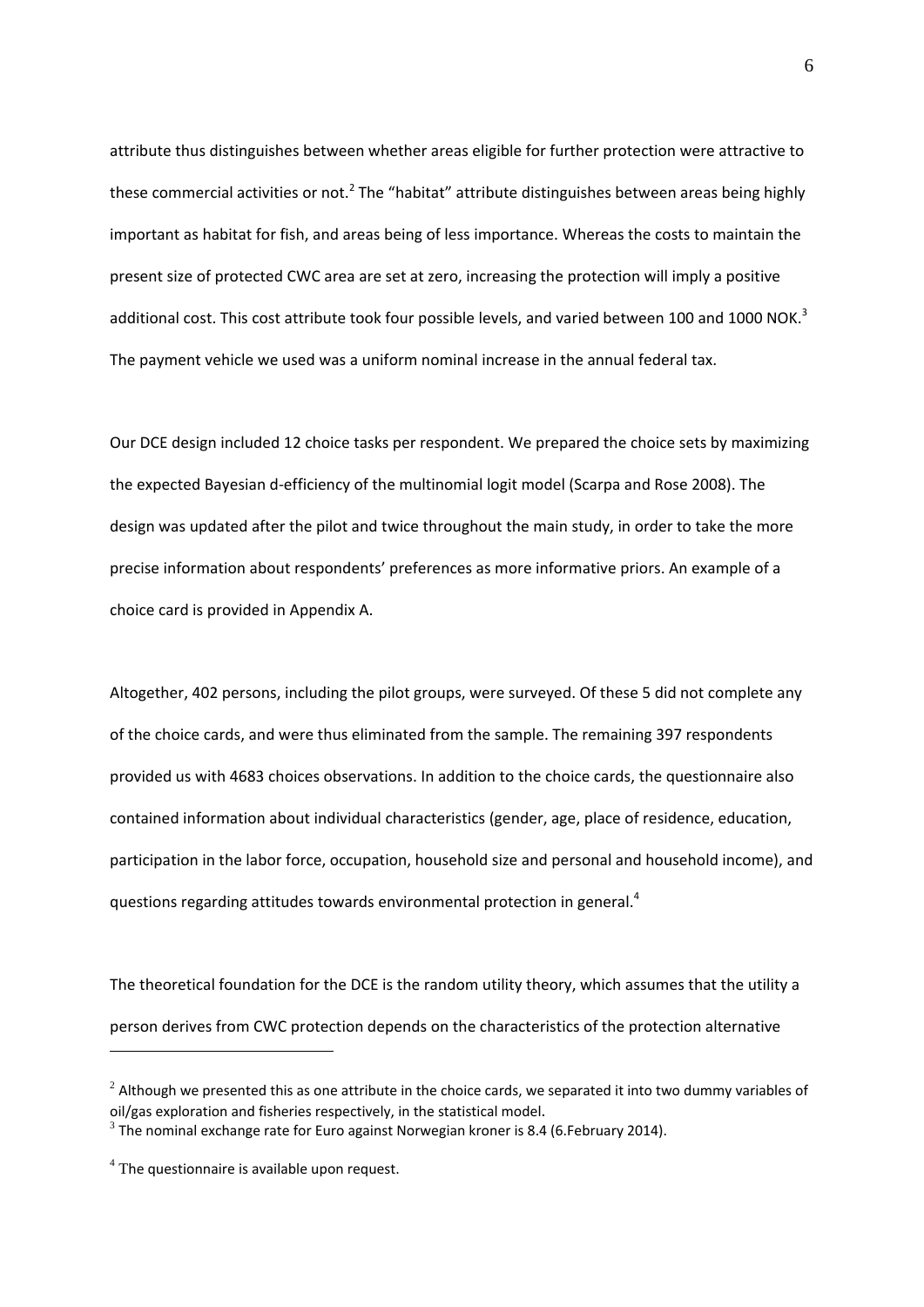attribute thus distinguishes between whether areas eligible for further protection were attractive to these commercial activities or not.<sup>2</sup> The "habitat" attribute distinguishes between areas being highly important as habitat for fish, and areas being of less importance. Whereas the costs to maintain the present size of protected CWC area are set at zero, increasing the protection will imply a positive additional cost. This cost attribute took four possible levels, and varied between 100 and 1000 NOK.<sup>3</sup> The payment vehicle we used was a uniform nominal increase in the annual federal tax.

Our DCE design included 12 choice tasks per respondent. We prepared the choice sets by maximizing the expected Bayesian d‐efficiency of the multinomial logit model (Scarpa and Rose 2008). The design was updated after the pilot and twice throughout the main study, in order to take the more precise information about respondents' preferences as more informative priors. An example of a choice card is provided in Appendix A.

Altogether, 402 persons, including the pilot groups, were surveyed. Of these 5 did not complete any of the choice cards, and were thus eliminated from the sample. The remaining 397 respondents provided us with 4683 choices observations. In addition to the choice cards, the questionnaire also contained information about individual characteristics (gender, age, place of residence, education, participation in the labor force, occupation, household size and personal and household income), and questions regarding attitudes towards environmental protection in general. $4$ 

The theoretical foundation for the DCE is the random utility theory, which assumes that the utility a person derives from CWC protection depends on the characteristics of the protection alternative

<u>.</u>

 $2$  Although we presented this as one attribute in the choice cards, we separated it into two dummy variables of oil/gas exploration and fisheries respectively, in the statistical model.<br><sup>3</sup> The nominal exchange rate for Euro against Norwegian kroner is 8.4 (6.February 2014).

 $<sup>4</sup>$  The questionnaire is available upon request.</sup>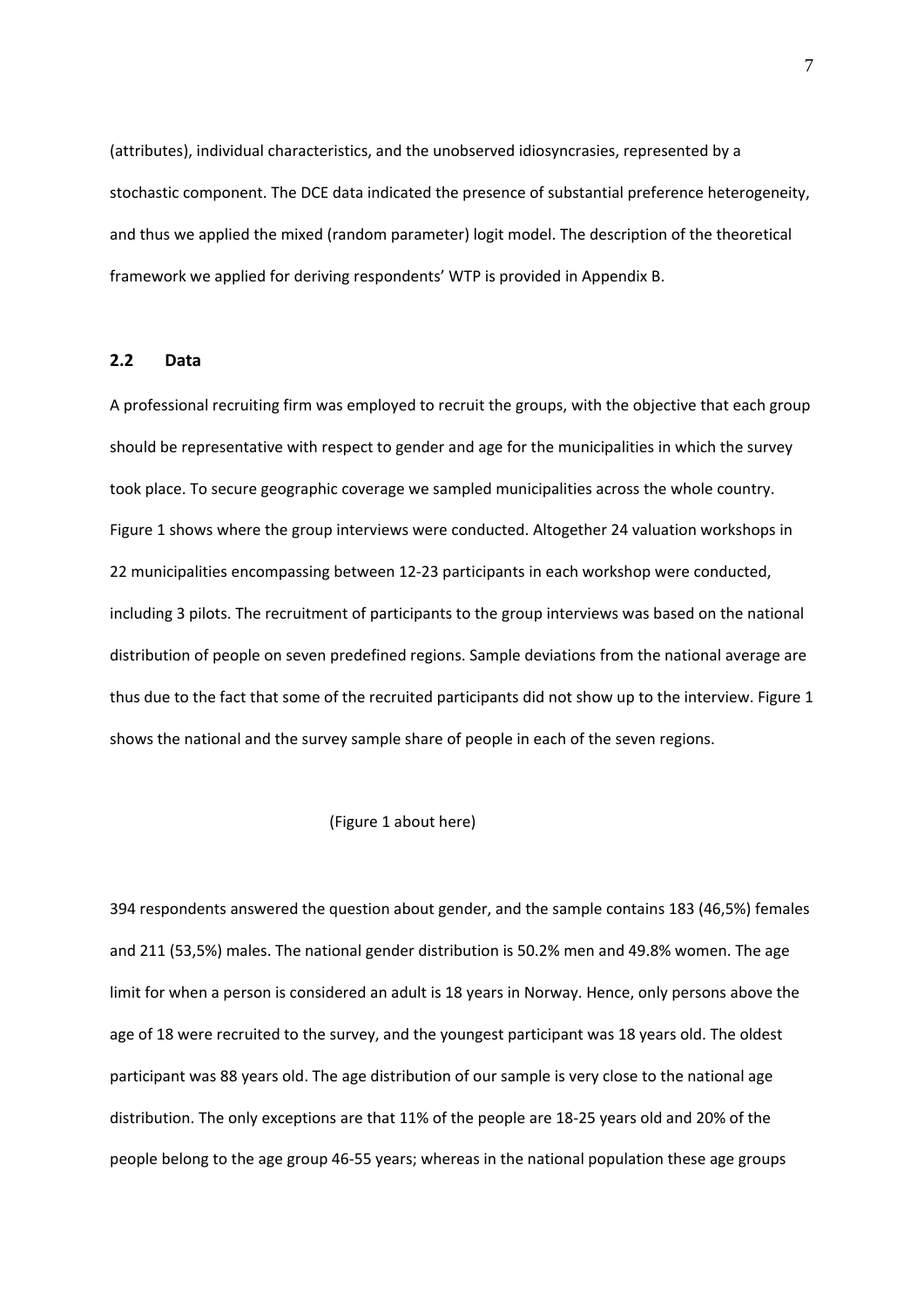(attributes), individual characteristics, and the unobserved idiosyncrasies, represented by a stochastic component. The DCE data indicated the presence of substantial preference heterogeneity, and thus we applied the mixed (random parameter) logit model. The description of the theoretical framework we applied for deriving respondents' WTP is provided in Appendix B.

#### **2.2 Data**

A professional recruiting firm was employed to recruit the groups, with the objective that each group should be representative with respect to gender and age for the municipalities in which the survey took place. To secure geographic coverage we sampled municipalities across the whole country. Figure 1 shows where the group interviews were conducted. Altogether 24 valuation workshops in 22 municipalities encompassing between 12‐23 participants in each workshop were conducted, including 3 pilots. The recruitment of participants to the group interviews was based on the national distribution of people on seven predefined regions. Sample deviations from the national average are thus due to the fact that some of the recruited participants did not show up to the interview. Figure 1 shows the national and the survey sample share of people in each of the seven regions.

#### (Figure 1 about here)

394 respondents answered the question about gender, and the sample contains 183 (46,5%) females and 211 (53,5%) males. The national gender distribution is 50.2% men and 49.8% women. The age limit for when a person is considered an adult is 18 years in Norway. Hence, only persons above the age of 18 were recruited to the survey, and the youngest participant was 18 years old. The oldest participant was 88 years old. The age distribution of our sample is very close to the national age distribution. The only exceptions are that 11% of the people are 18‐25 years old and 20% of the people belong to the age group 46‐55 years; whereas in the national population these age groups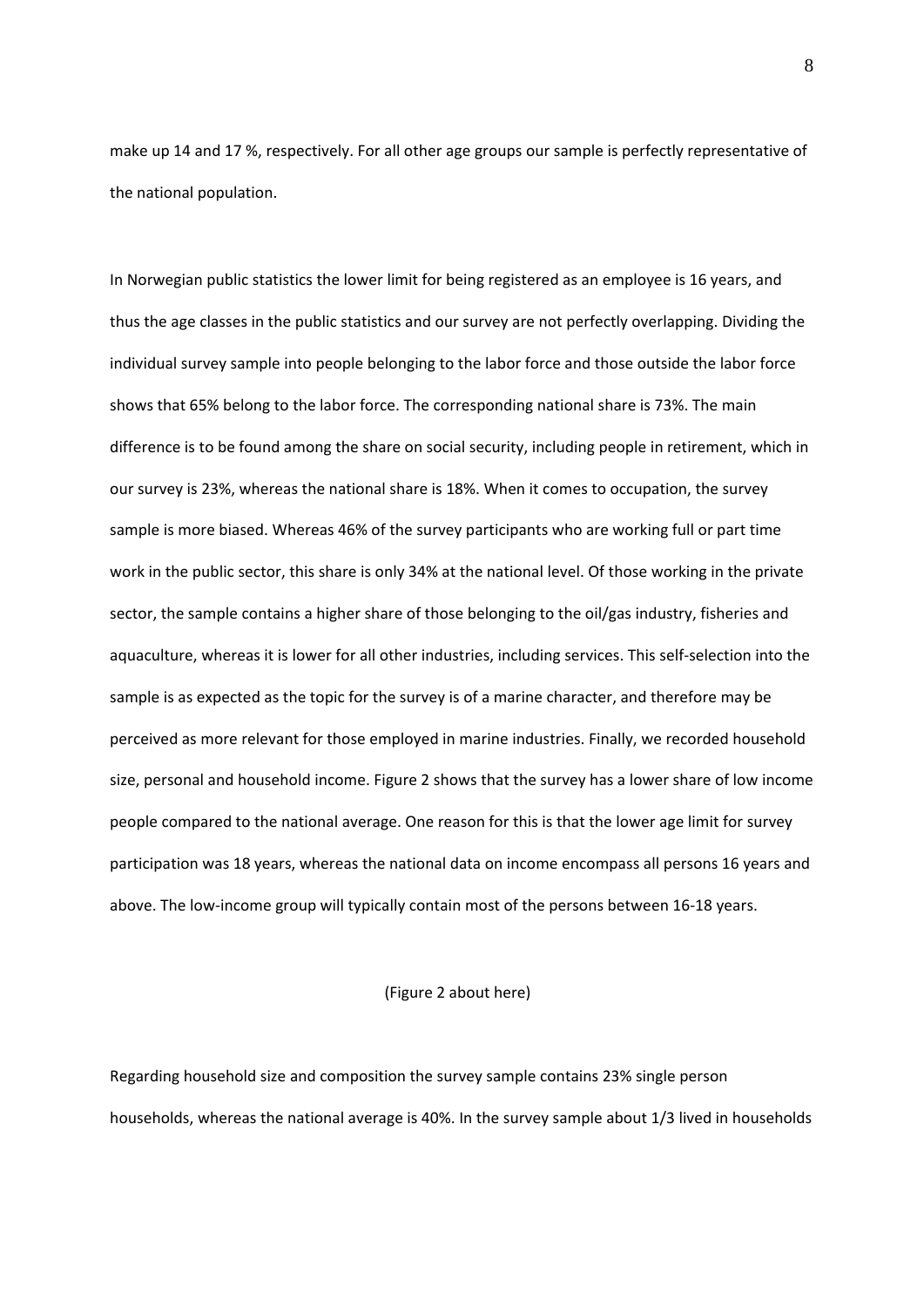make up 14 and 17 %, respectively. For all other age groups our sample is perfectly representative of the national population.

In Norwegian public statistics the lower limit for being registered as an employee is 16 years, and thus the age classes in the public statistics and our survey are not perfectly overlapping. Dividing the individual survey sample into people belonging to the labor force and those outside the labor force shows that 65% belong to the labor force. The corresponding national share is 73%. The main difference is to be found among the share on social security, including people in retirement, which in our survey is 23%, whereas the national share is 18%. When it comes to occupation, the survey sample is more biased. Whereas 46% of the survey participants who are working full or part time work in the public sector, this share is only 34% at the national level. Of those working in the private sector, the sample contains a higher share of those belonging to the oil/gas industry, fisheries and aquaculture, whereas it is lower for all other industries, including services. This self‐selection into the sample is as expected as the topic for the survey is of a marine character, and therefore may be perceived as more relevant for those employed in marine industries. Finally, we recorded household size, personal and household income. Figure 2 shows that the survey has a lower share of low income people compared to the national average. One reason for this is that the lower age limit for survey participation was 18 years, whereas the national data on income encompass all persons 16 years and above. The low-income group will typically contain most of the persons between 16-18 years.

#### (Figure 2 about here)

Regarding household size and composition the survey sample contains 23% single person households, whereas the national average is 40%. In the survey sample about 1/3 lived in households

8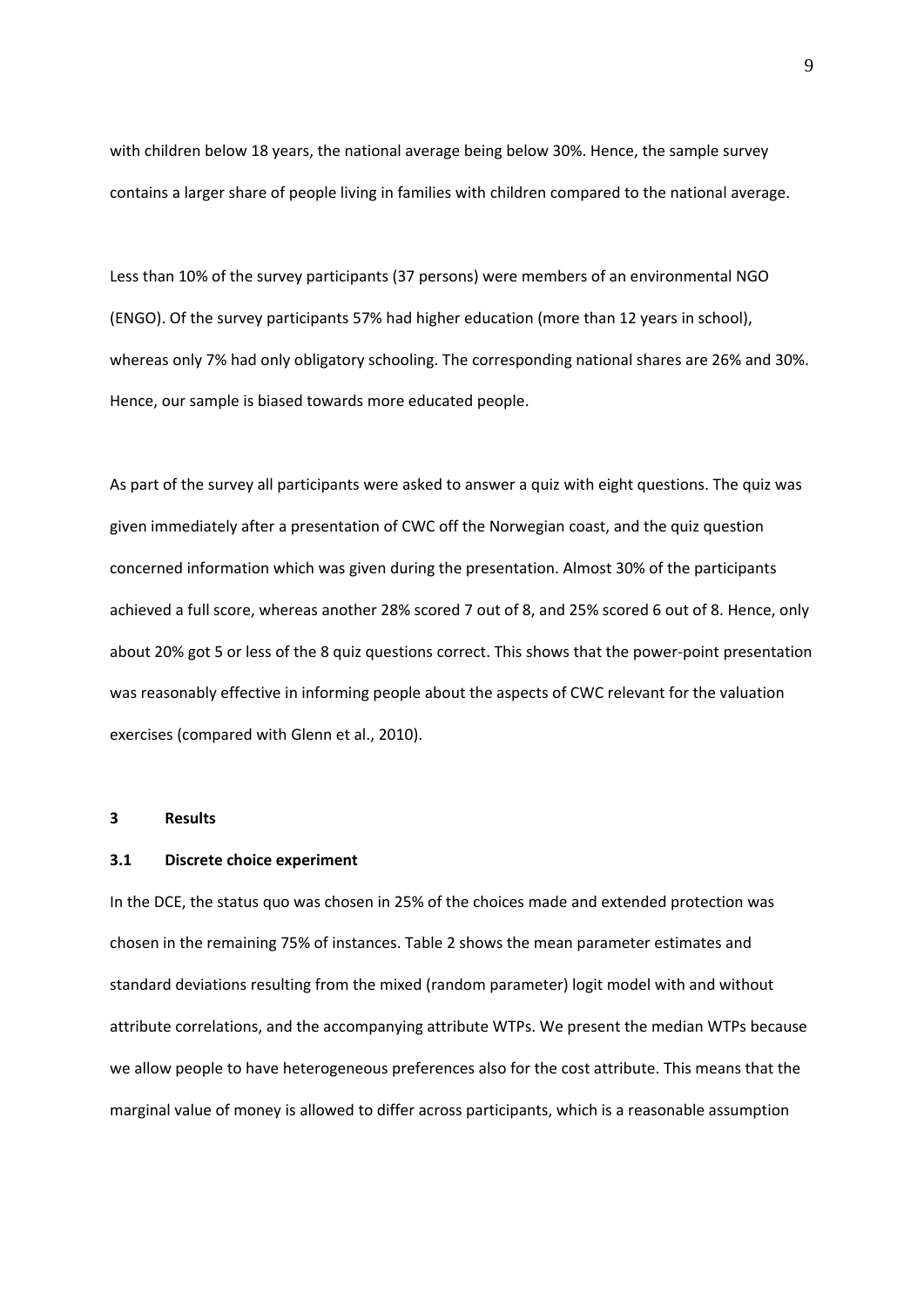with children below 18 years, the national average being below 30%. Hence, the sample survey contains a larger share of people living in families with children compared to the national average.

Less than 10% of the survey participants (37 persons) were members of an environmental NGO (ENGO). Of the survey participants 57% had higher education (more than 12 years in school), whereas only 7% had only obligatory schooling. The corresponding national shares are 26% and 30%. Hence, our sample is biased towards more educated people.

As part of the survey all participants were asked to answer a quiz with eight questions. The quiz was given immediately after a presentation of CWC off the Norwegian coast, and the quiz question concerned information which was given during the presentation. Almost 30% of the participants achieved a full score, whereas another 28% scored 7 out of 8, and 25% scored 6 out of 8. Hence, only about 20% got 5 or less of the 8 quiz questions correct. This shows that the power‐point presentation was reasonably effective in informing people about the aspects of CWC relevant for the valuation exercises (compared with Glenn et al., 2010).

#### **3 Results**

#### **3.1 Discrete choice experiment**

In the DCE, the status quo was chosen in 25% of the choices made and extended protection was chosen in the remaining 75% of instances. Table 2 shows the mean parameter estimates and standard deviations resulting from the mixed (random parameter) logit model with and without attribute correlations, and the accompanying attribute WTPs. We present the median WTPs because we allow people to have heterogeneous preferences also for the cost attribute. This means that the marginal value of money is allowed to differ across participants, which is a reasonable assumption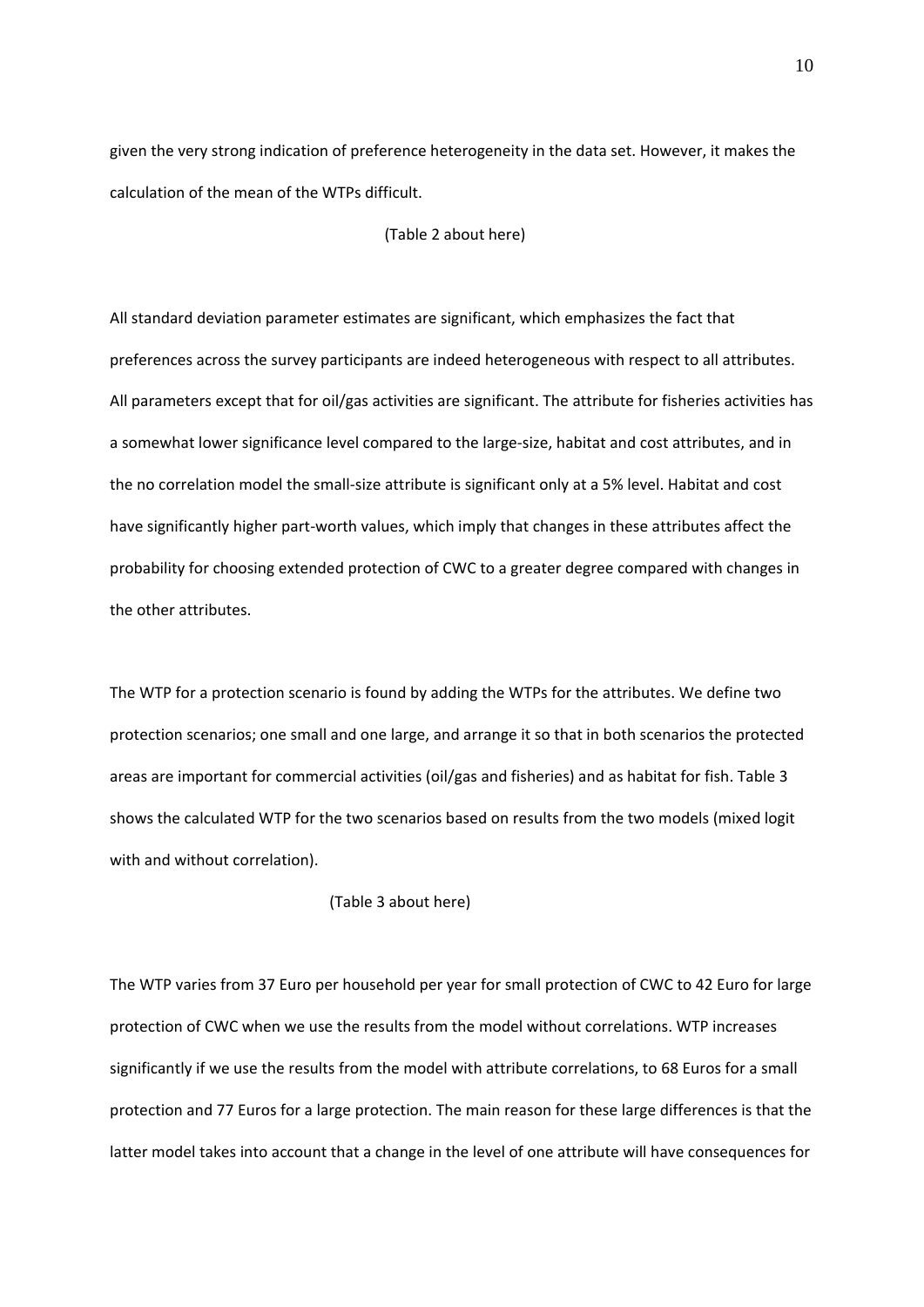given the very strong indication of preference heterogeneity in the data set. However, it makes the calculation of the mean of the WTPs difficult.

(Table 2 about here)

All standard deviation parameter estimates are significant, which emphasizes the fact that preferences across the survey participants are indeed heterogeneous with respect to all attributes. All parameters except that for oil/gas activities are significant. The attribute for fisheries activities has a somewhat lower significance level compared to the large‐size, habitat and cost attributes, and in the no correlation model the small‐size attribute is significant only at a 5% level. Habitat and cost have significantly higher part‐worth values, which imply that changes in these attributes affect the probability for choosing extended protection of CWC to a greater degree compared with changes in the other attributes.

The WTP for a protection scenario is found by adding the WTPs for the attributes. We define two protection scenarios; one small and one large, and arrange it so that in both scenarios the protected areas are important for commercial activities (oil/gas and fisheries) and as habitat for fish. Table 3 shows the calculated WTP for the two scenarios based on results from the two models (mixed logit with and without correlation).

(Table 3 about here)

The WTP varies from 37 Euro per household per year for small protection of CWC to 42 Euro for large protection of CWC when we use the results from the model without correlations. WTP increases significantly if we use the results from the model with attribute correlations, to 68 Euros for a small protection and 77 Euros for a large protection. The main reason for these large differences is that the latter model takes into account that a change in the level of one attribute will have consequences for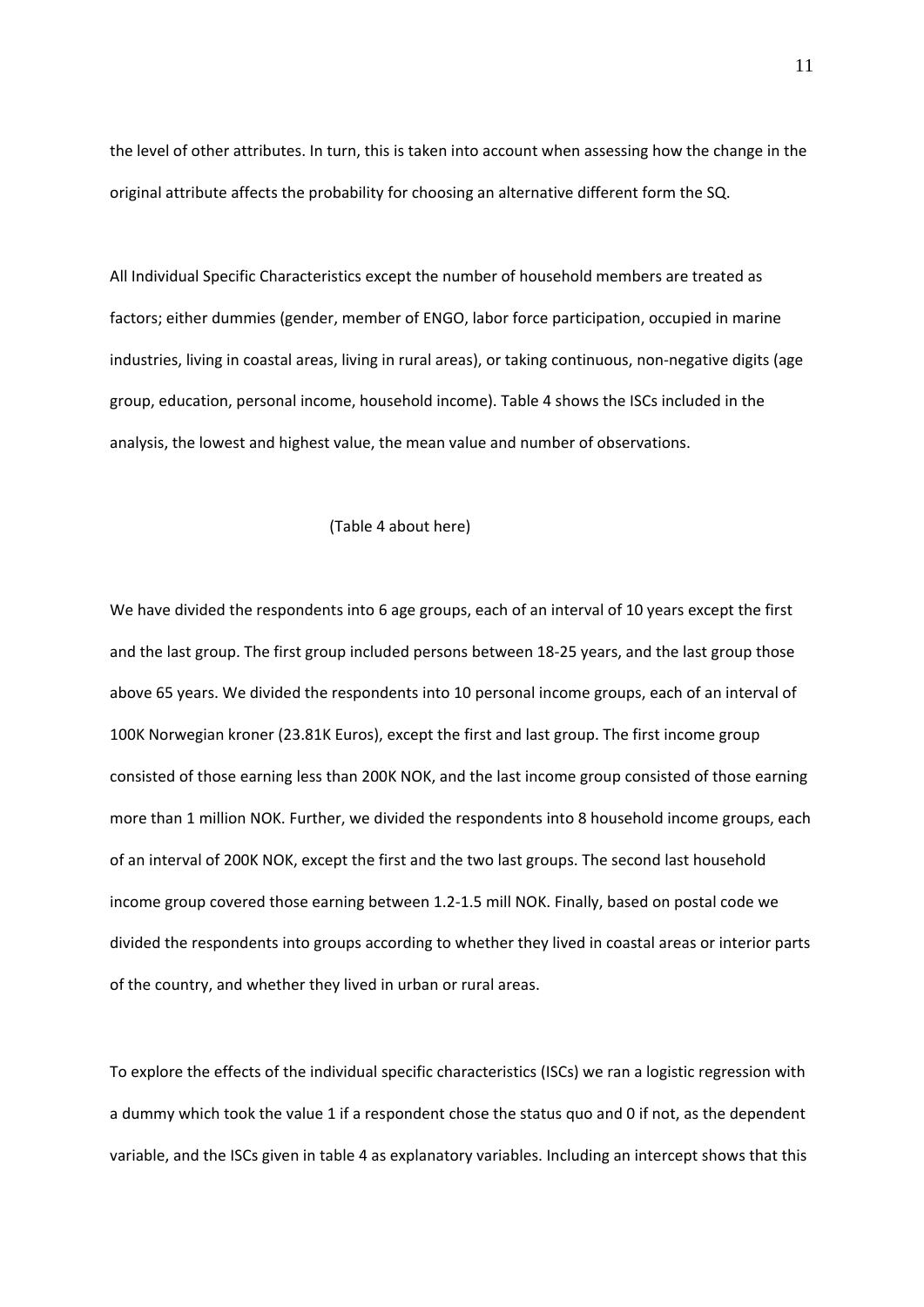the level of other attributes. In turn, this is taken into account when assessing how the change in the original attribute affects the probability for choosing an alternative different form the SQ.

All Individual Specific Characteristics except the number of household members are treated as factors; either dummies (gender, member of ENGO, labor force participation, occupied in marine industries, living in coastal areas, living in rural areas), or taking continuous, non‐negative digits (age group, education, personal income, household income). Table 4 shows the ISCs included in the analysis, the lowest and highest value, the mean value and number of observations.

#### (Table 4 about here)

We have divided the respondents into 6 age groups, each of an interval of 10 years except the first and the last group. The first group included persons between 18‐25 years, and the last group those above 65 years. We divided the respondents into 10 personal income groups, each of an interval of 100K Norwegian kroner (23.81K Euros), except the first and last group. The first income group consisted of those earning less than 200K NOK, and the last income group consisted of those earning more than 1 million NOK. Further, we divided the respondents into 8 household income groups, each of an interval of 200K NOK, except the first and the two last groups. The second last household income group covered those earning between 1.2‐1.5 mill NOK. Finally, based on postal code we divided the respondents into groups according to whether they lived in coastal areas or interior parts of the country, and whether they lived in urban or rural areas.

To explore the effects of the individual specific characteristics (ISCs) we ran a logistic regression with a dummy which took the value 1 if a respondent chose the status quo and 0 if not, as the dependent variable, and the ISCs given in table 4 as explanatory variables. Including an intercept shows that this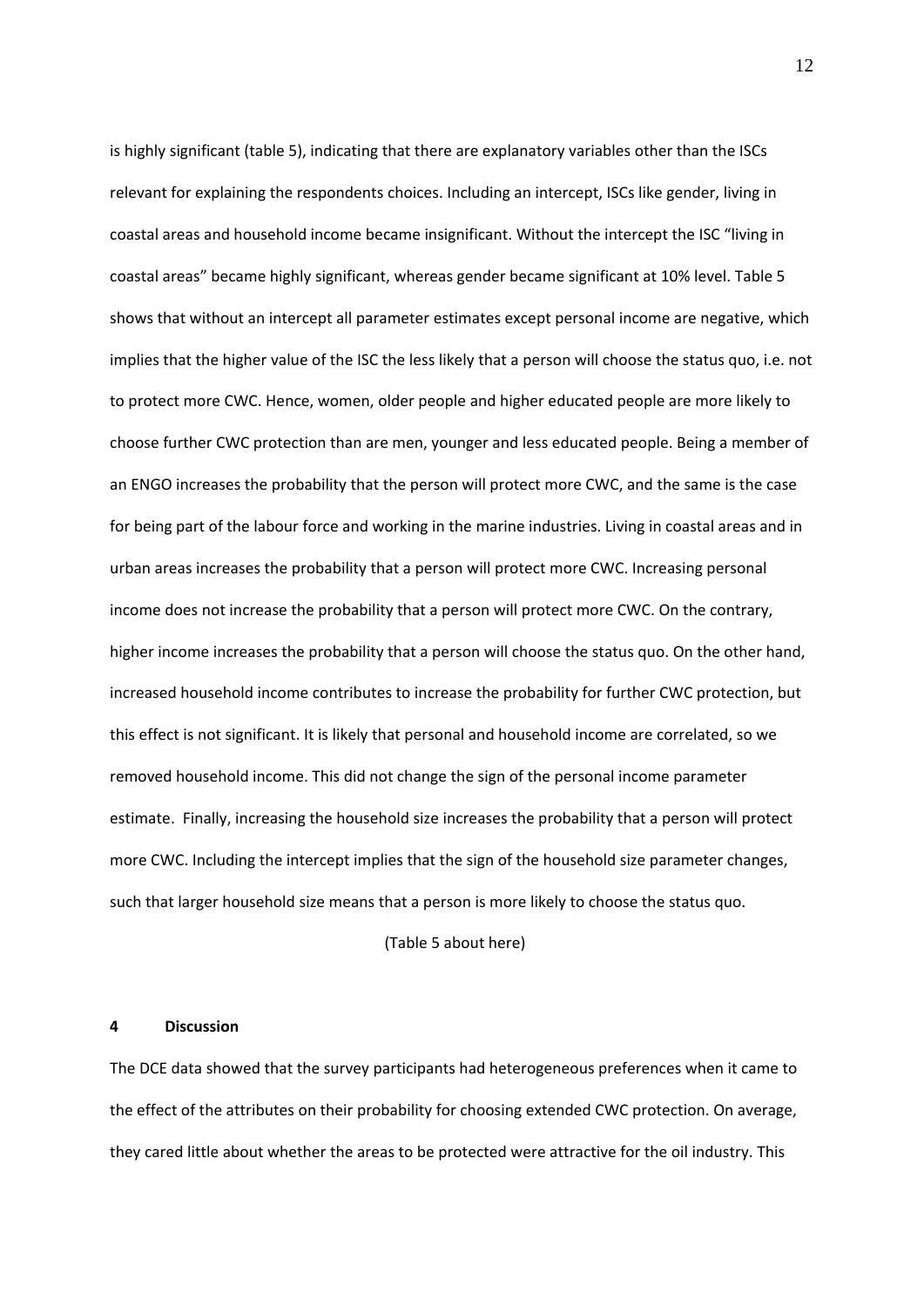is highly significant (table 5), indicating that there are explanatory variables other than the ISCs relevant for explaining the respondents choices. Including an intercept, ISCs like gender, living in coastal areas and household income became insignificant. Without the intercept the ISC "living in coastal areas" became highly significant, whereas gender became significant at 10% level. Table 5 shows that without an intercept all parameter estimates except personal income are negative, which implies that the higher value of the ISC the less likely that a person will choose the status quo, i.e. not to protect more CWC. Hence, women, older people and higher educated people are more likely to choose further CWC protection than are men, younger and less educated people. Being a member of an ENGO increases the probability that the person will protect more CWC, and the same is the case for being part of the labour force and working in the marine industries. Living in coastal areas and in urban areas increases the probability that a person will protect more CWC. Increasing personal income does not increase the probability that a person will protect more CWC. On the contrary, higher income increases the probability that a person will choose the status quo. On the other hand, increased household income contributes to increase the probability for further CWC protection, but this effect is not significant. It is likely that personal and household income are correlated, so we removed household income. This did not change the sign of the personal income parameter estimate. Finally, increasing the household size increases the probability that a person will protect more CWC. Including the intercept implies that the sign of the household size parameter changes, such that larger household size means that a person is more likely to choose the status quo.

#### (Table 5 about here)

#### **4 Discussion**

The DCE data showed that the survey participants had heterogeneous preferences when it came to the effect of the attributes on their probability for choosing extended CWC protection. On average, they cared little about whether the areas to be protected were attractive for the oil industry. This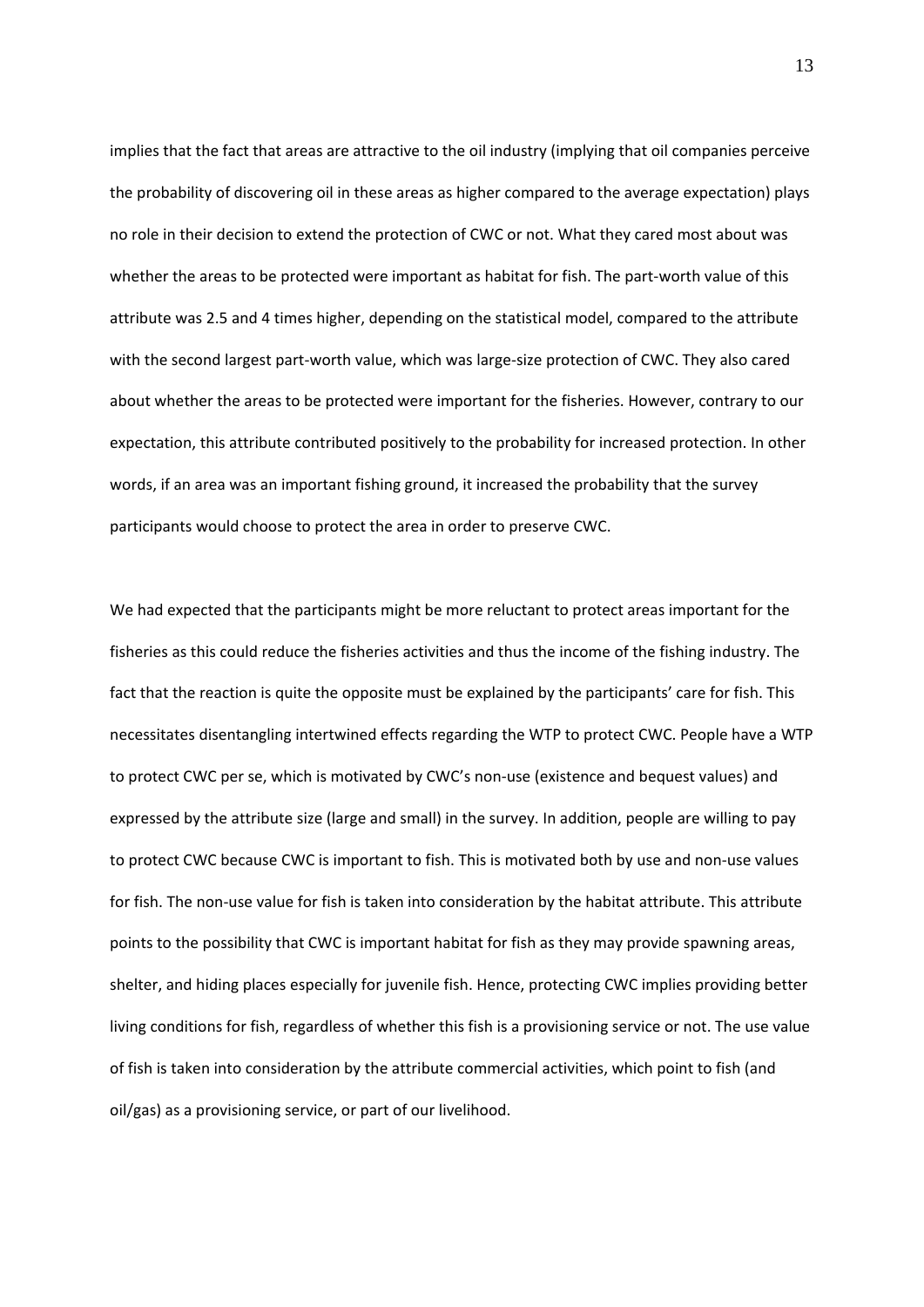implies that the fact that areas are attractive to the oil industry (implying that oil companies perceive the probability of discovering oil in these areas as higher compared to the average expectation) plays no role in their decision to extend the protection of CWC or not. What they cared most about was whether the areas to be protected were important as habitat for fish. The part-worth value of this attribute was 2.5 and 4 times higher, depending on the statistical model, compared to the attribute with the second largest part-worth value, which was large-size protection of CWC. They also cared about whether the areas to be protected were important for the fisheries. However, contrary to our expectation, this attribute contributed positively to the probability for increased protection. In other words, if an area was an important fishing ground, it increased the probability that the survey participants would choose to protect the area in order to preserve CWC.

We had expected that the participants might be more reluctant to protect areas important for the fisheries as this could reduce the fisheries activities and thus the income of the fishing industry. The fact that the reaction is quite the opposite must be explained by the participants' care for fish. This necessitates disentangling intertwined effects regarding the WTP to protect CWC. People have a WTP to protect CWC per se, which is motivated by CWC's non‐use (existence and bequest values) and expressed by the attribute size (large and small) in the survey. In addition, people are willing to pay to protect CWC because CWC is important to fish. This is motivated both by use and non‐use values for fish. The non-use value for fish is taken into consideration by the habitat attribute. This attribute points to the possibility that CWC is important habitat for fish as they may provide spawning areas, shelter, and hiding places especially for juvenile fish. Hence, protecting CWC implies providing better living conditions for fish, regardless of whether this fish is a provisioning service or not. The use value of fish is taken into consideration by the attribute commercial activities, which point to fish (and oil/gas) as a provisioning service, or part of our livelihood.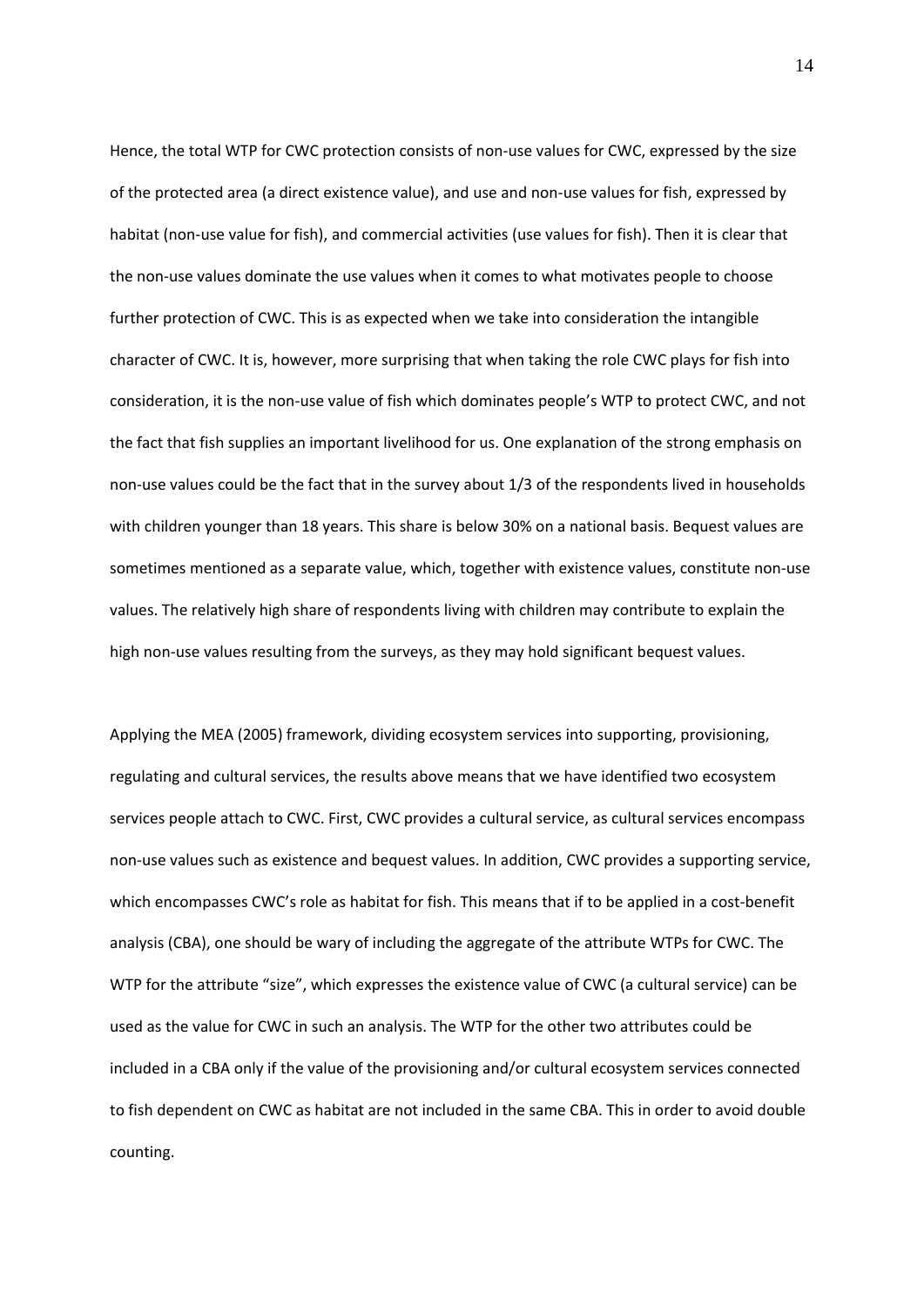Hence, the total WTP for CWC protection consists of non-use values for CWC, expressed by the size of the protected area (a direct existence value), and use and non‐use values for fish, expressed by habitat (non‐use value for fish), and commercial activities (use values for fish). Then it is clear that the non‐use values dominate the use values when it comes to what motivates people to choose further protection of CWC. This is as expected when we take into consideration the intangible character of CWC. It is, however, more surprising that when taking the role CWC plays for fish into consideration, it is the non‐use value of fish which dominates people's WTP to protect CWC, and not the fact that fish supplies an important livelihood for us. One explanation of the strong emphasis on non-use values could be the fact that in the survey about 1/3 of the respondents lived in households with children younger than 18 years. This share is below 30% on a national basis. Bequest values are sometimes mentioned as a separate value, which, together with existence values, constitute non-use values. The relatively high share of respondents living with children may contribute to explain the high non-use values resulting from the surveys, as they may hold significant bequest values.

Applying the MEA (2005) framework, dividing ecosystem services into supporting, provisioning, regulating and cultural services, the results above means that we have identified two ecosystem services people attach to CWC. First, CWC provides a cultural service, as cultural services encompass non‐use values such as existence and bequest values. In addition, CWC provides a supporting service, which encompasses CWC's role as habitat for fish. This means that if to be applied in a cost-benefit analysis (CBA), one should be wary of including the aggregate of the attribute WTPs for CWC. The WTP for the attribute "size", which expresses the existence value of CWC (a cultural service) can be used as the value for CWC in such an analysis. The WTP for the other two attributes could be included in a CBA only if the value of the provisioning and/or cultural ecosystem services connected to fish dependent on CWC as habitat are not included in the same CBA. This in order to avoid double counting.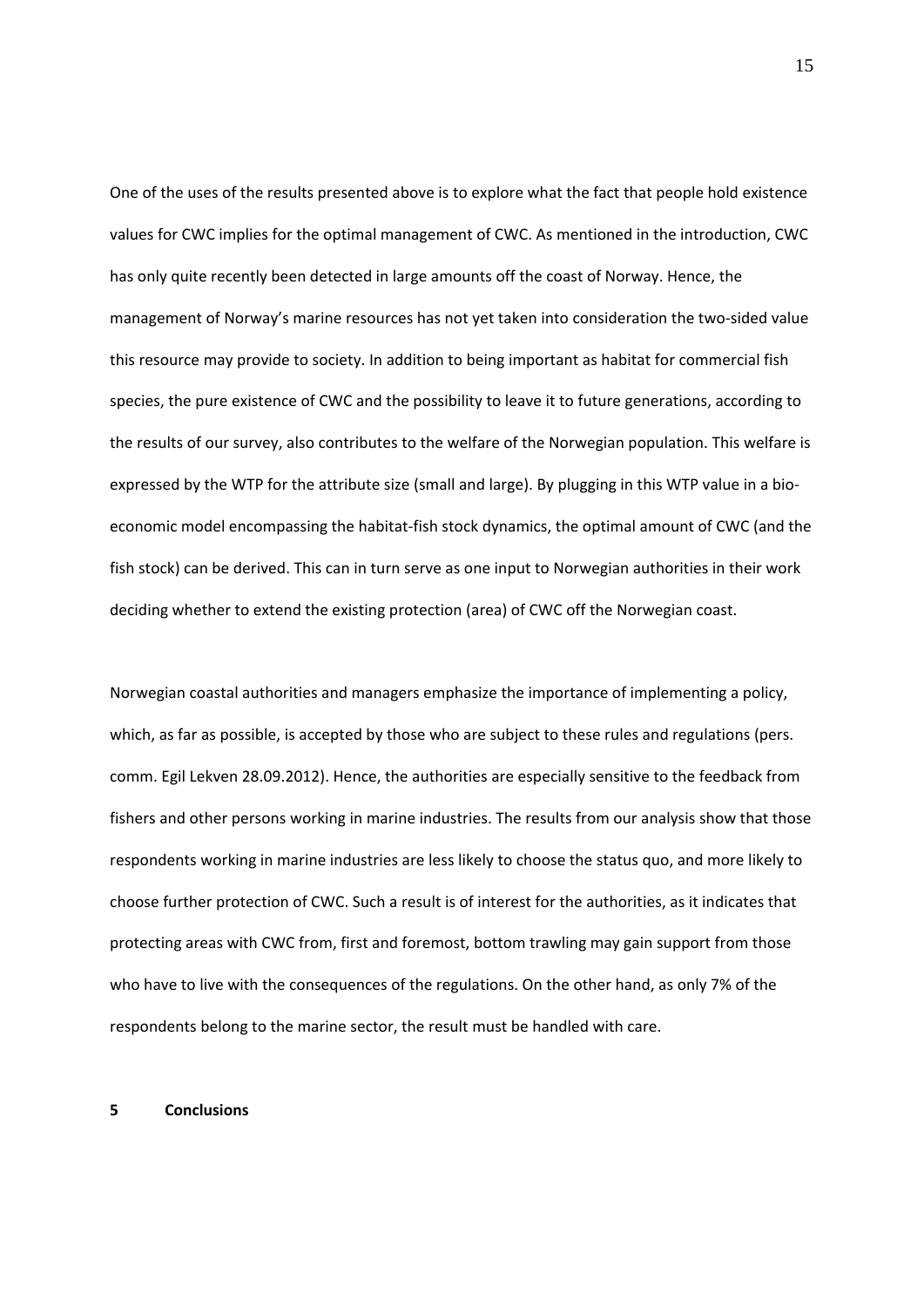One of the uses of the results presented above is to explore what the fact that people hold existence values for CWC implies for the optimal management of CWC. As mentioned in the introduction, CWC has only quite recently been detected in large amounts off the coast of Norway. Hence, the management of Norway's marine resources has not yet taken into consideration the two‐sided value this resource may provide to society. In addition to being important as habitat for commercial fish species, the pure existence of CWC and the possibility to leave it to future generations, according to the results of our survey, also contributes to the welfare of the Norwegian population. This welfare is expressed by the WTP for the attribute size (small and large). By plugging in this WTP value in a bio‐ economic model encompassing the habitat‐fish stock dynamics, the optimal amount of CWC (and the fish stock) can be derived. This can in turn serve as one input to Norwegian authorities in their work deciding whether to extend the existing protection (area) of CWC off the Norwegian coast.

Norwegian coastal authorities and managers emphasize the importance of implementing a policy, which, as far as possible, is accepted by those who are subject to these rules and regulations (pers. comm. Egil Lekven 28.09.2012). Hence, the authorities are especially sensitive to the feedback from fishers and other persons working in marine industries. The results from our analysis show that those respondents working in marine industries are less likely to choose the status quo, and more likely to choose further protection of CWC. Such a result is of interest for the authorities, as it indicates that protecting areas with CWC from, first and foremost, bottom trawling may gain support from those who have to live with the consequences of the regulations. On the other hand, as only 7% of the respondents belong to the marine sector, the result must be handled with care.

#### **5 Conclusions**

15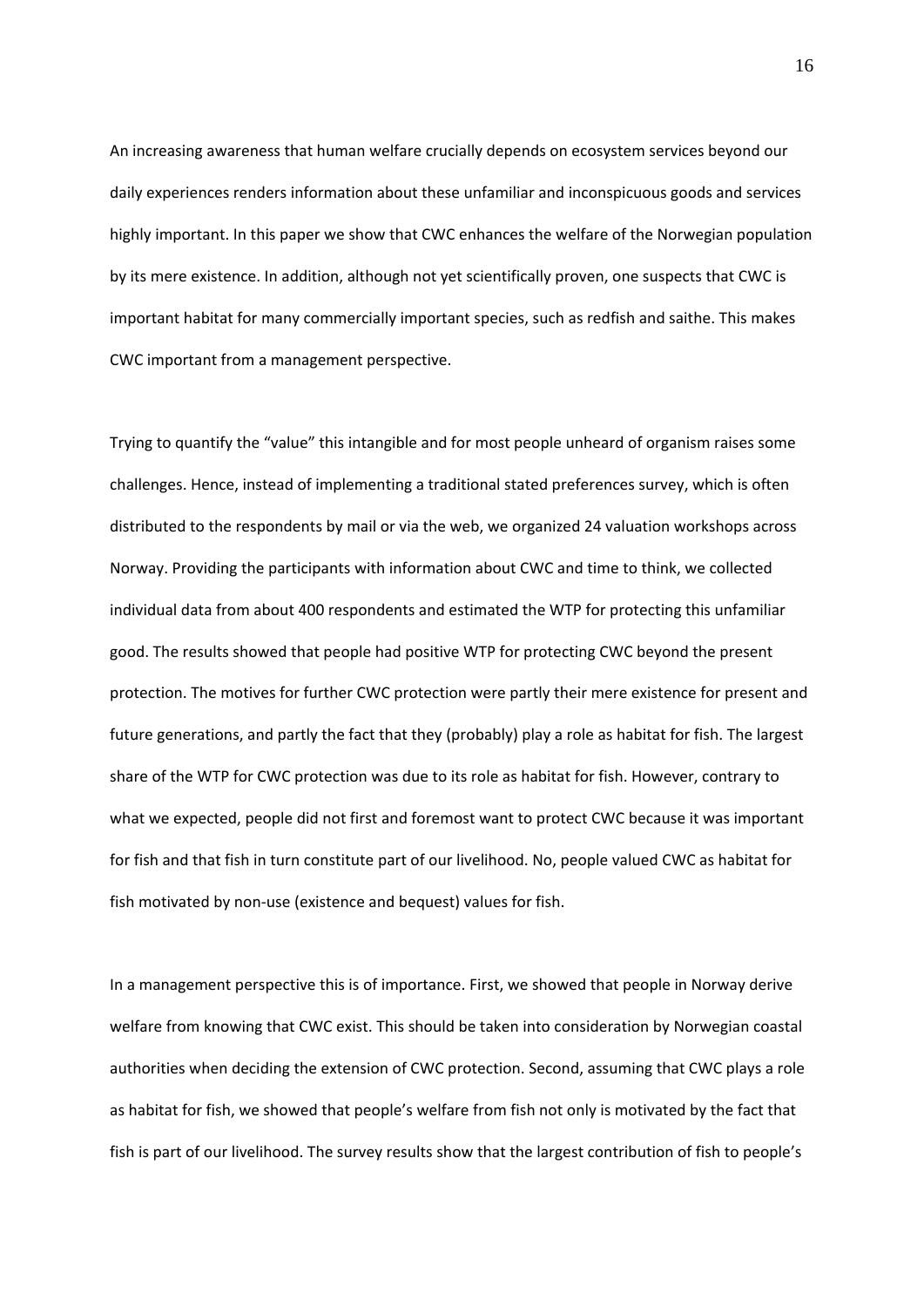An increasing awareness that human welfare crucially depends on ecosystem services beyond our daily experiences renders information about these unfamiliar and inconspicuous goods and services highly important. In this paper we show that CWC enhances the welfare of the Norwegian population by its mere existence. In addition, although not yet scientifically proven, one suspects that CWC is important habitat for many commercially important species, such as redfish and saithe. This makes CWC important from a management perspective.

Trying to quantify the "value" this intangible and for most people unheard of organism raises some challenges. Hence, instead of implementing a traditional stated preferences survey, which is often distributed to the respondents by mail or via the web, we organized 24 valuation workshops across Norway. Providing the participants with information about CWC and time to think, we collected individual data from about 400 respondents and estimated the WTP for protecting this unfamiliar good. The results showed that people had positive WTP for protecting CWC beyond the present protection. The motives for further CWC protection were partly their mere existence for present and future generations, and partly the fact that they (probably) play a role as habitat for fish. The largest share of the WTP for CWC protection was due to its role as habitat for fish. However, contrary to what we expected, people did not first and foremost want to protect CWC because it was important for fish and that fish in turn constitute part of our livelihood. No, people valued CWC as habitat for fish motivated by non‐use (existence and bequest) values for fish.

In a management perspective this is of importance. First, we showed that people in Norway derive welfare from knowing that CWC exist. This should be taken into consideration by Norwegian coastal authorities when deciding the extension of CWC protection. Second, assuming that CWC plays a role as habitat for fish, we showed that people's welfare from fish not only is motivated by the fact that fish is part of our livelihood. The survey results show that the largest contribution of fish to people's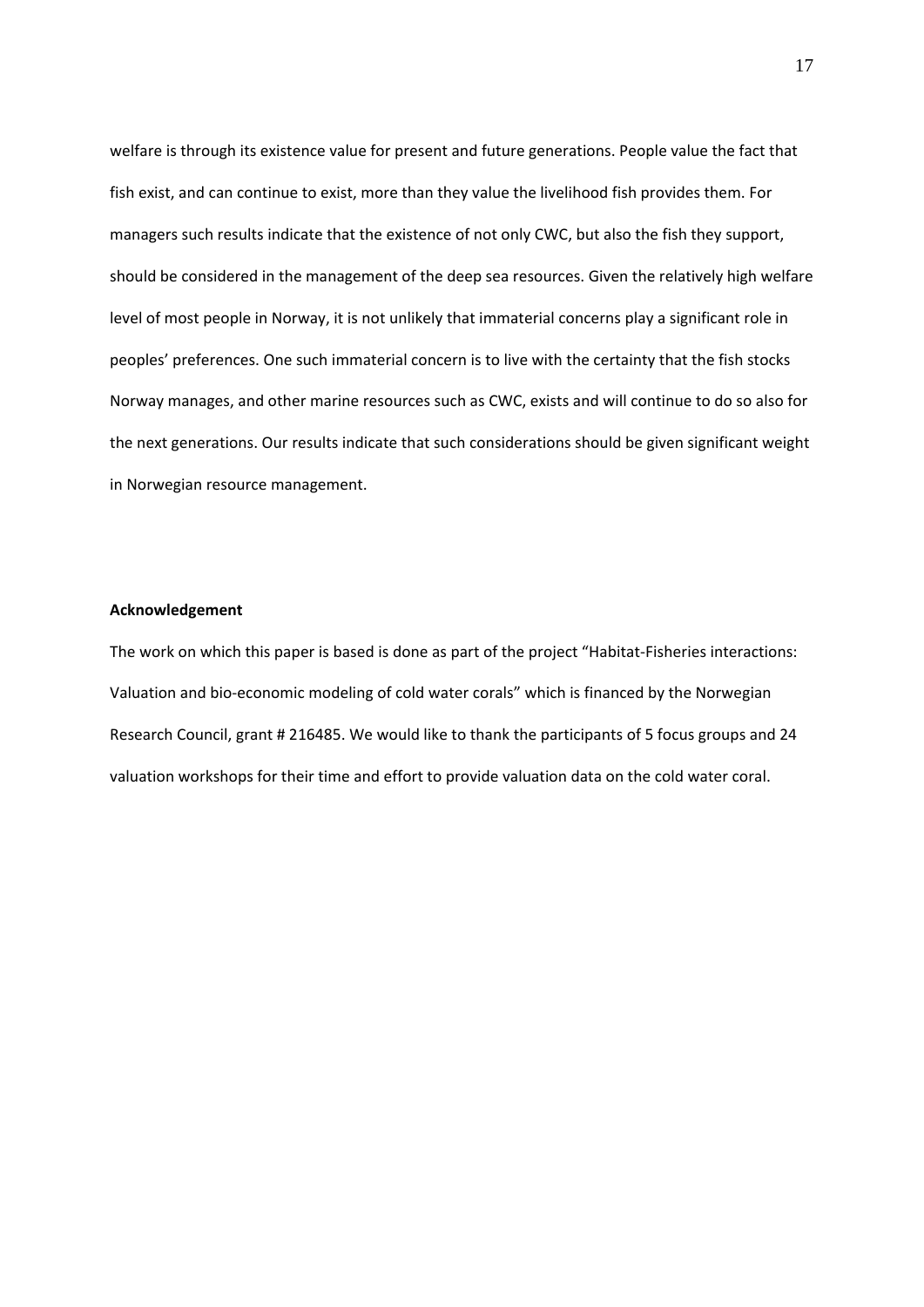welfare is through its existence value for present and future generations. People value the fact that fish exist, and can continue to exist, more than they value the livelihood fish provides them. For managers such results indicate that the existence of not only CWC, but also the fish they support, should be considered in the management of the deep sea resources. Given the relatively high welfare level of most people in Norway, it is not unlikely that immaterial concerns play a significant role in peoples' preferences. One such immaterial concern is to live with the certainty that the fish stocks Norway manages, and other marine resources such as CWC, exists and will continue to do so also for the next generations. Our results indicate that such considerations should be given significant weight in Norwegian resource management.

#### **Acknowledgement**

The work on which this paper is based is done as part of the project "Habitat‐Fisheries interactions: Valuation and bio‐economic modeling of cold water corals" which is financed by the Norwegian Research Council, grant # 216485. We would like to thank the participants of 5 focus groups and 24 valuation workshops for their time and effort to provide valuation data on the cold water coral.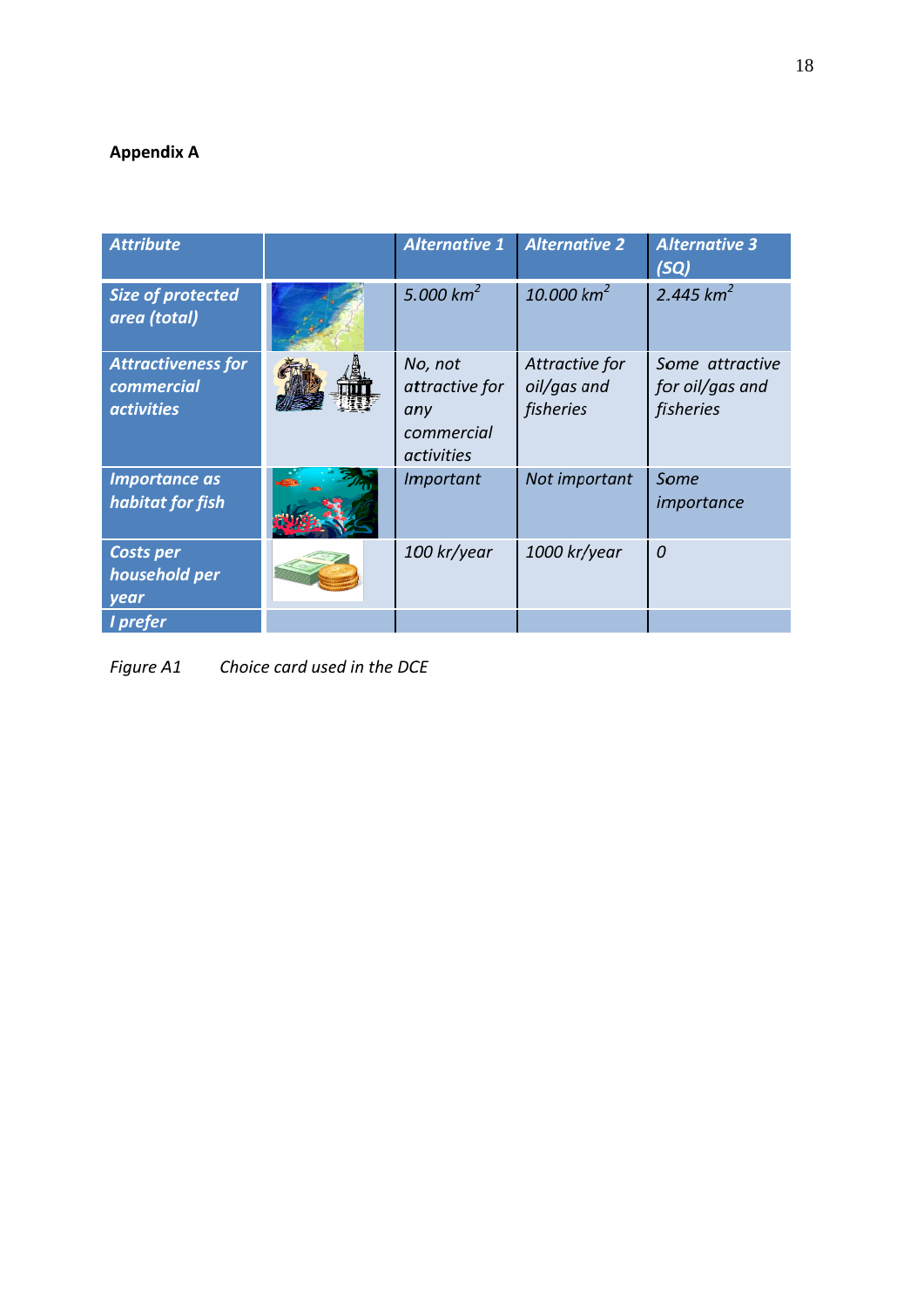#### **Append dix A**

| <b>Attribute</b>                                             | <b>Alternative 1</b>                                                | <b>Alternative 2</b>                       | <b>Alternative 3</b><br>(SQ)                    |
|--------------------------------------------------------------|---------------------------------------------------------------------|--------------------------------------------|-------------------------------------------------|
| Size of protected<br>area (total)                            | 5.000 $km^2$                                                        | 10.000 $km^2$                              | 2.445 $km^2$                                    |
| <b>Attractiveness for</b><br>commercial<br><i>activities</i> | No, not<br>attractive for<br>any<br>commercial<br><i>activities</i> | Attractive for<br>oil/gas and<br>fisheries | Some attractive<br>for oil/gas and<br>fisheries |
| <b>Importance as</b><br>habitat for fish                     | Important                                                           | Not important                              | Some<br>importance                              |
| <b>Costs per</b><br>household per<br>year                    | 100 kr/year                                                         | 1000 kr/year                               | $\mathcal O$                                    |
| I prefer                                                     |                                                                     |                                            |                                                 |

*Figure* A1 *Choice card used in the DCE*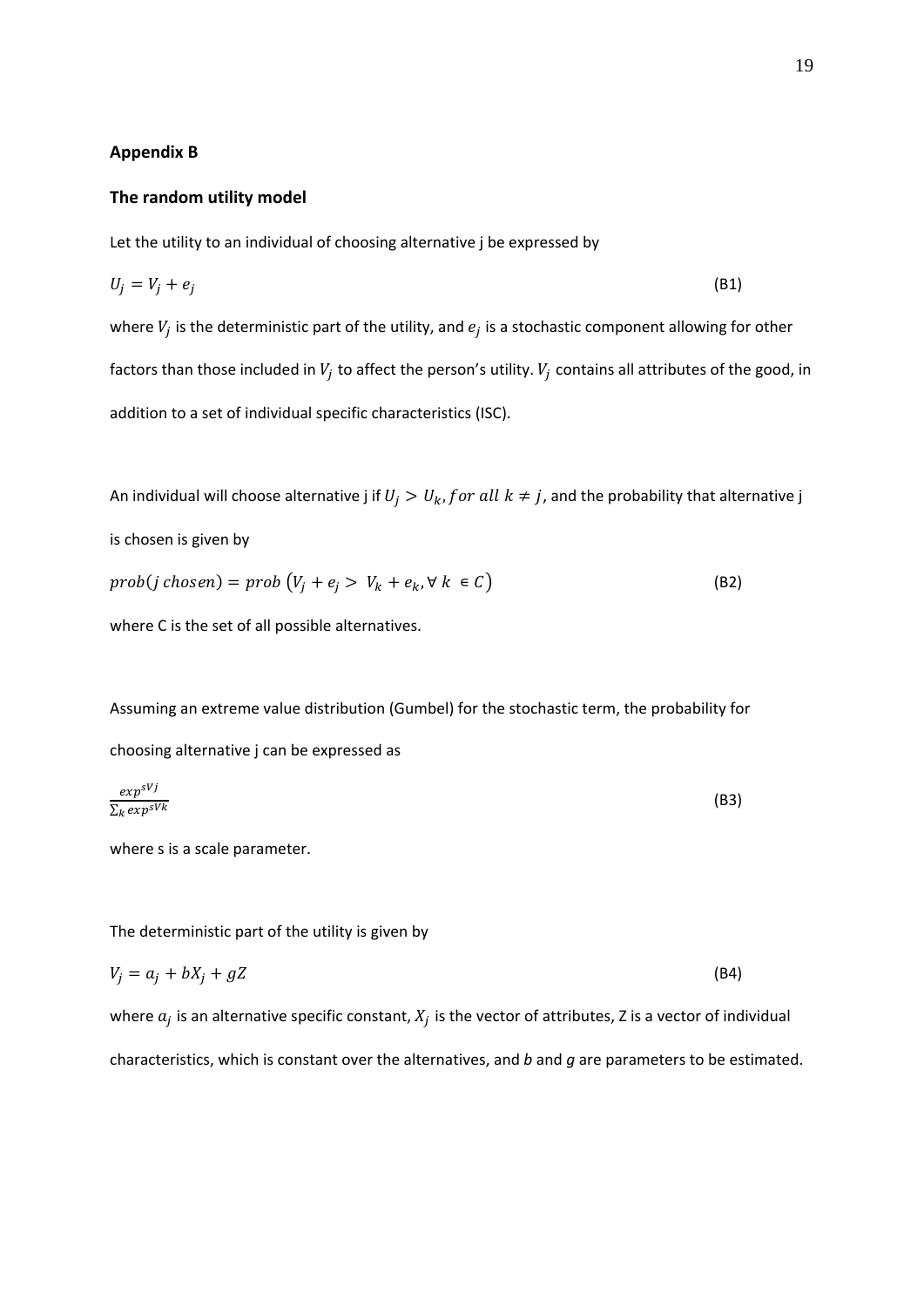#### **Appendix B**

#### **The random utility model**

Let the utility to an individual of choosing alternative j be expressed by

$$
U_j = V_j + e_j \tag{B1}
$$

where  $V_j$  is the deterministic part of the utility, and  $e_j$  is a stochastic component allowing for other factors than those included in  $V_j$  to affect the person's utility.  $V_j$  contains all attributes of the good, in addition to a set of individual specific characteristics (ISC).

An individual will choose alternative j if  $U_j > U_k$ , for all  $k \neq j$ , and the probability that alternative j is chosen is given by  $prob(j \; chosen) = prob (V_j + e_j > V_k + e_k, \forall k \in C)$  (B2)

where C is the set of all possible alternatives.

Assuming an extreme value distribution (Gumbel) for the stochastic term, the probability for choosing alternative j can be expressed as

$$
\frac{\exp^{SVj}}{\sum_{k} \exp^{SVk}} \tag{B3}
$$

where s is a scale parameter.

The deterministic part of the utility is given by

$$
V_j = a_j + bX_j + gZ \tag{B4}
$$

where  $a_j$  is an alternative specific constant,  $X_j$  is the vector of attributes, Z is a vector of individual characteristics, which is constant over the alternatives, and *b* and *g* are parameters to be estimated.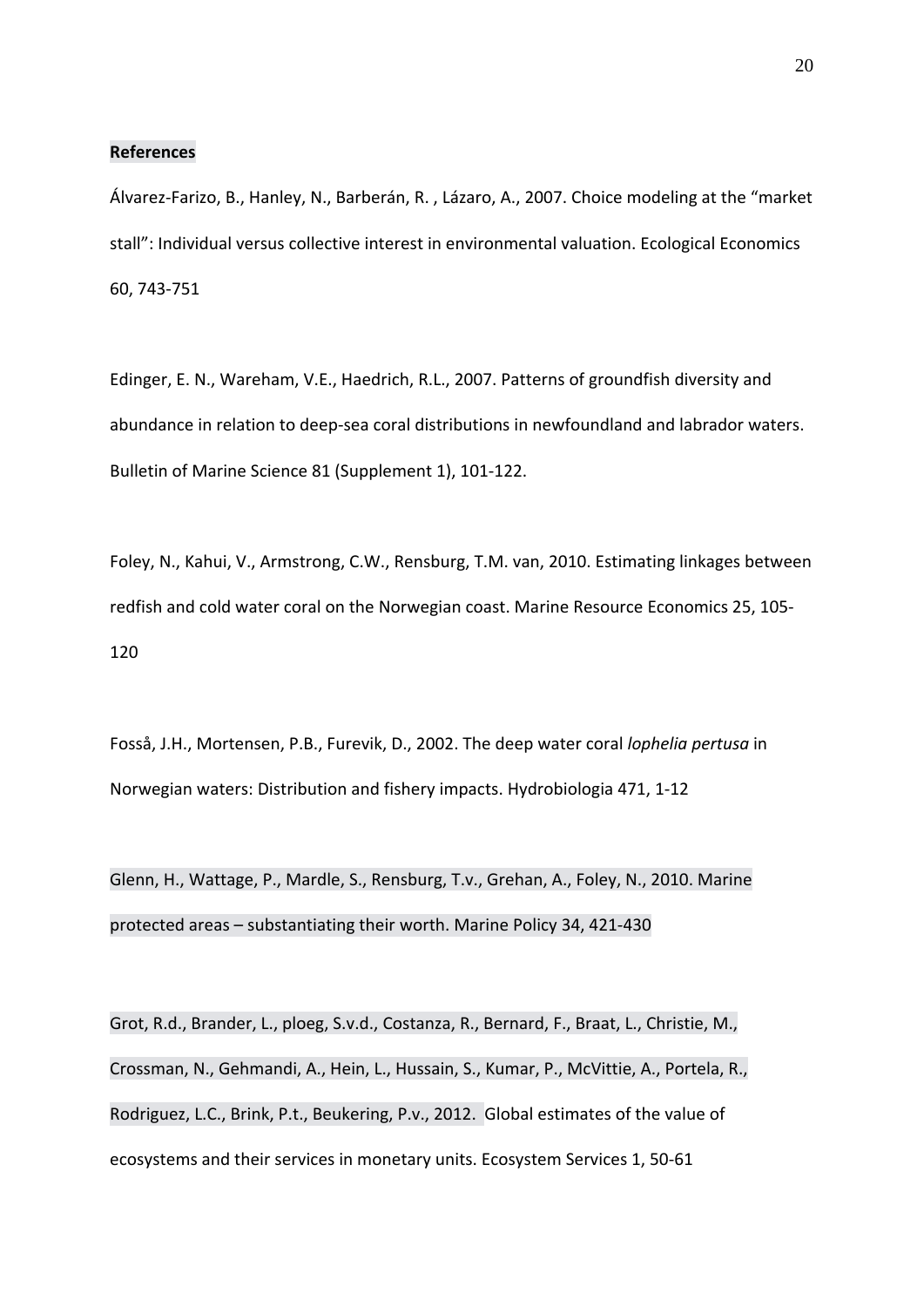#### **References**

Álvarez‐Farizo, B., Hanley, N., Barberán, R. , Lázaro, A., 2007. Choice modeling at the "market stall": Individual versus collective interest in environmental valuation. Ecological Economics 60, 743‐751

Edinger, E. N., Wareham, V.E., Haedrich, R.L., 2007. Patterns of groundfish diversity and abundance in relation to deep‐sea coral distributions in newfoundland and labrador waters. Bulletin of Marine Science 81 (Supplement 1), 101‐122.

Foley, N., Kahui, V., Armstrong, C.W., Rensburg, T.M. van, 2010. Estimating linkages between redfish and cold water coral on the Norwegian coast. Marine Resource Economics 25, 105‐ 120

Fosså, J.H., Mortensen, P.B., Furevik, D., 2002. The deep water coral *lophelia pertusa* in Norwegian waters: Distribution and fishery impacts. Hydrobiologia 471, 1‐12

Glenn, H., Wattage, P., Mardle, S., Rensburg, T.v., Grehan, A., Foley, N., 2010. Marine protected areas – substantiating their worth. Marine Policy 34, 421‐430

Grot, R.d., Brander, L., ploeg, S.v.d., Costanza, R., Bernard, F., Braat, L., Christie, M., Crossman, N., Gehmandi, A., Hein, L., Hussain, S., Kumar, P., McVittie, A., Portela, R., Rodriguez, L.C., Brink, P.t., Beukering, P.v., 2012. Global estimates of the value of ecosystems and their services in monetary units. Ecosystem Services 1, 50‐61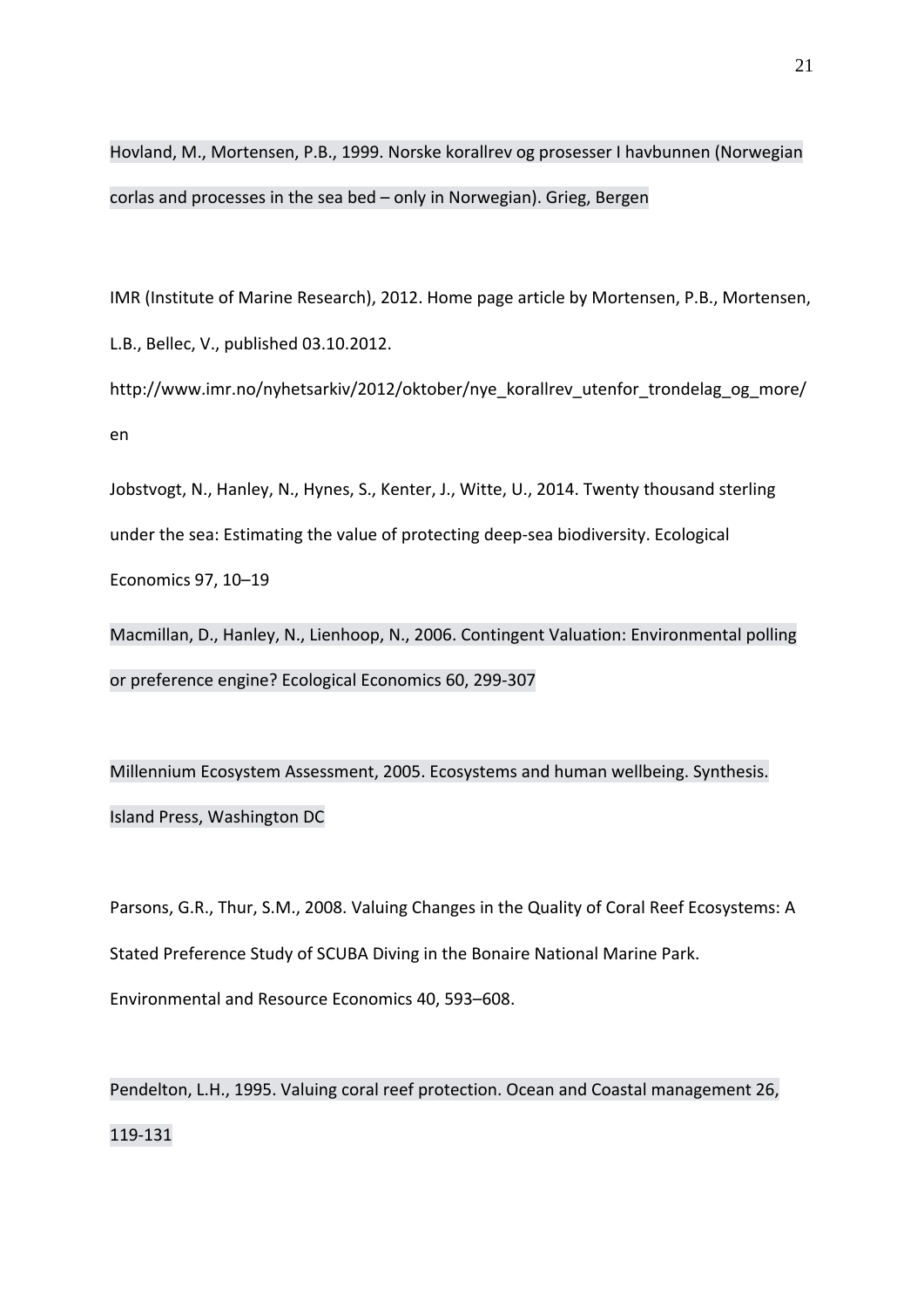Hovland, M., Mortensen, P.B., 1999. Norske korallrev og prosesser I havbunnen (Norwegian corlas and processes in the sea bed – only in Norwegian). Grieg, Bergen

IMR (Institute of Marine Research), 2012. Home page article by Mortensen, P.B., Mortensen, L.B., Bellec, V., published 03.10.2012.

http://www.imr.no/nyhetsarkiv/2012/oktober/nye\_korallrev\_utenfor\_trondelag\_og\_more/ en

Jobstvogt, N., Hanley, N., Hynes, S., Kenter, J., Witte, U., 2014. Twenty thousand sterling under the sea: Estimating the value of protecting deep‐sea biodiversity. Ecological Economics 97, 10–19

Macmillan, D., Hanley, N., Lienhoop, N., 2006. Contingent Valuation: Environmental polling or preference engine? Ecological Economics 60, 299‐307

Millennium Ecosystem Assessment, 2005. Ecosystems and human wellbeing. Synthesis. Island Press, Washington DC

Parsons, G.R., Thur, S.M., 2008. Valuing Changes in the Quality of Coral Reef Ecosystems: A Stated Preference Study of SCUBA Diving in the Bonaire National Marine Park. Environmental and Resource Economics 40, 593–608.

Pendelton, L.H., 1995. Valuing coral reef protection. Ocean and Coastal management 26, 119‐131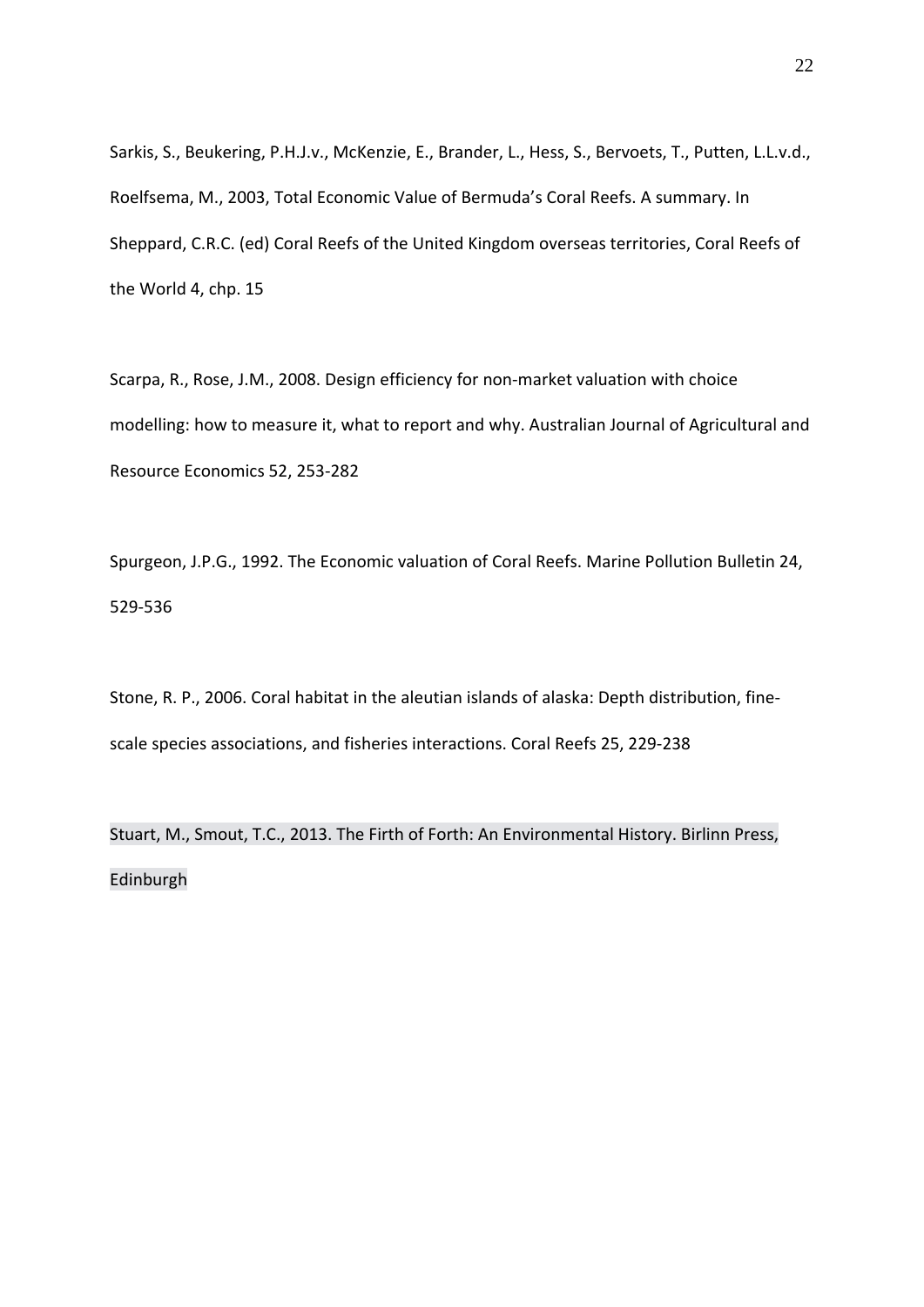Sarkis, S., Beukering, P.H.J.v., McKenzie, E., Brander, L., Hess, S., Bervoets, T., Putten, L.L.v.d., Roelfsema, M., 2003, Total Economic Value of Bermuda's Coral Reefs. A summary. In Sheppard, C.R.C. (ed) Coral Reefs of the United Kingdom overseas territories, Coral Reefs of the World 4, chp. 15

Scarpa, R., Rose, J.M., 2008. Design efficiency for non‐market valuation with choice modelling: how to measure it, what to report and why. Australian Journal of Agricultural and Resource Economics 52, 253‐282

Spurgeon, J.P.G., 1992. The Economic valuation of Coral Reefs. Marine Pollution Bulletin 24, 529‐536

Stone, R. P., 2006. Coral habitat in the aleutian islands of alaska: Depth distribution, fine‐ scale species associations, and fisheries interactions. Coral Reefs 25, 229‐238

Stuart, M., Smout, T.C., 2013. The Firth of Forth: An Environmental History. Birlinn Press, Edinburgh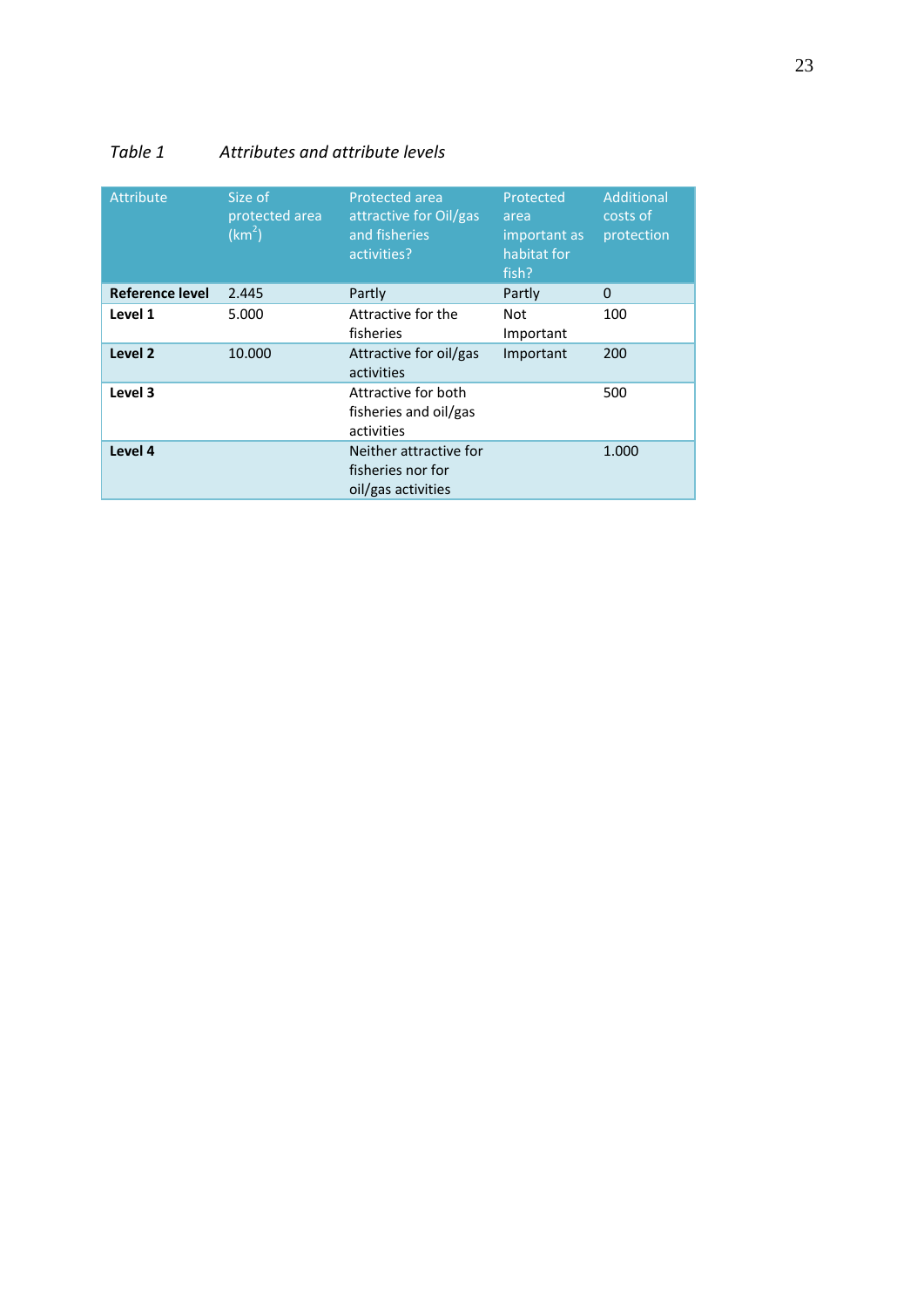#### *Table 1 Attributes and attribute levels*

| <b>Attribute</b>   | Size of<br>protected area<br>(km <sup>2</sup> ) | Protected area<br>attractive for Oil/gas<br>and fisheries<br>activities? | Protected<br>area<br>important as<br>habitat for<br>fish? | Additional<br>costs of<br>protection |
|--------------------|-------------------------------------------------|--------------------------------------------------------------------------|-----------------------------------------------------------|--------------------------------------|
| Reference level    | 2.445                                           | Partly                                                                   | Partly                                                    | $\Omega$                             |
| Level 1            | 5.000                                           | Attractive for the<br>fisheries                                          | <b>Not</b><br>Important                                   | 100                                  |
| Level <sub>2</sub> | 10.000                                          | Attractive for oil/gas<br>activities                                     | Important                                                 | 200                                  |
| Level 3            |                                                 | Attractive for both<br>fisheries and oil/gas<br>activities               |                                                           | 500                                  |
| Level 4            |                                                 | Neither attractive for<br>fisheries nor for<br>oil/gas activities        |                                                           | 1.000                                |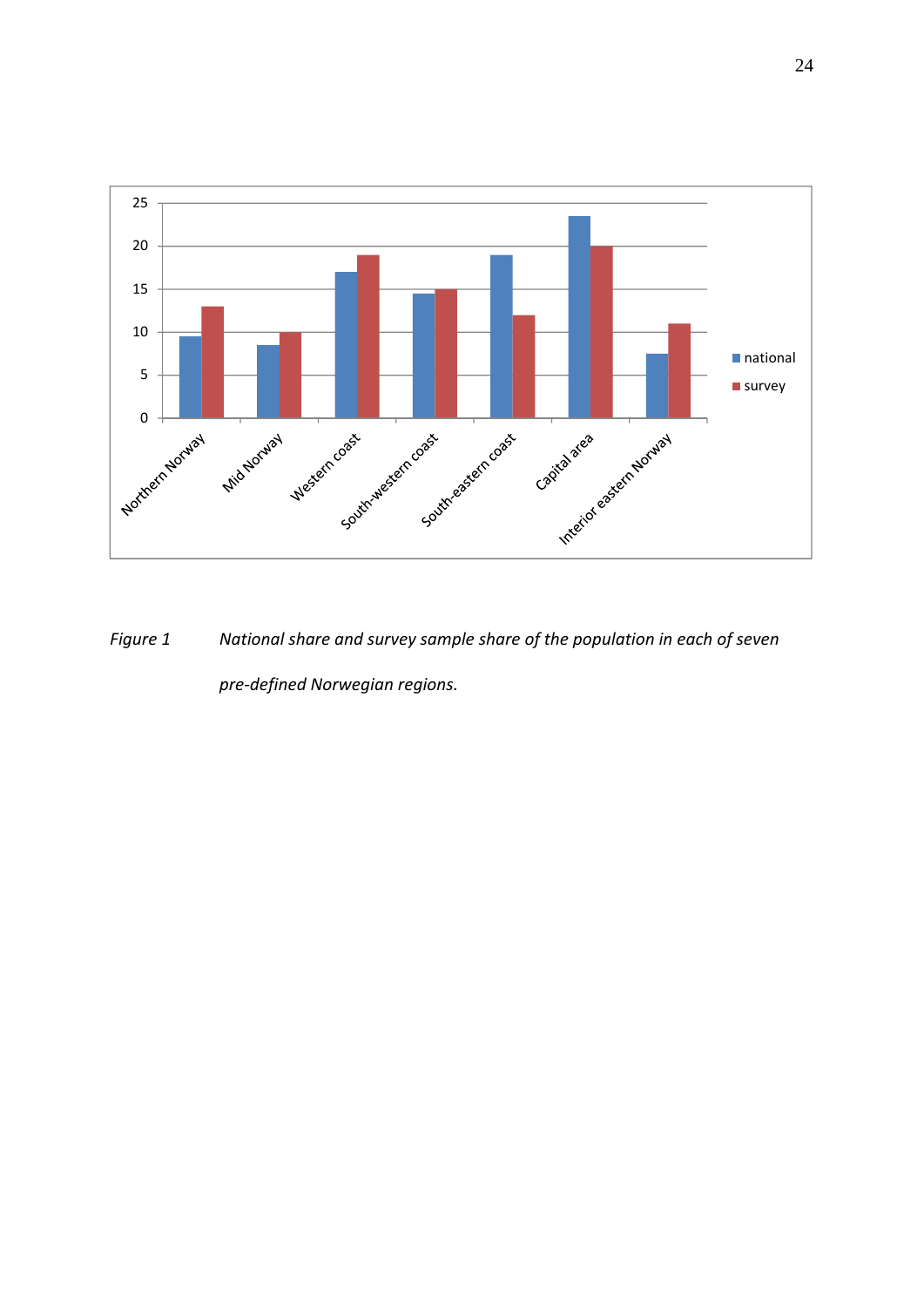

*Figure 1 National share and survey sample share of the population in each of seven pre‐defined Norwegian regions.*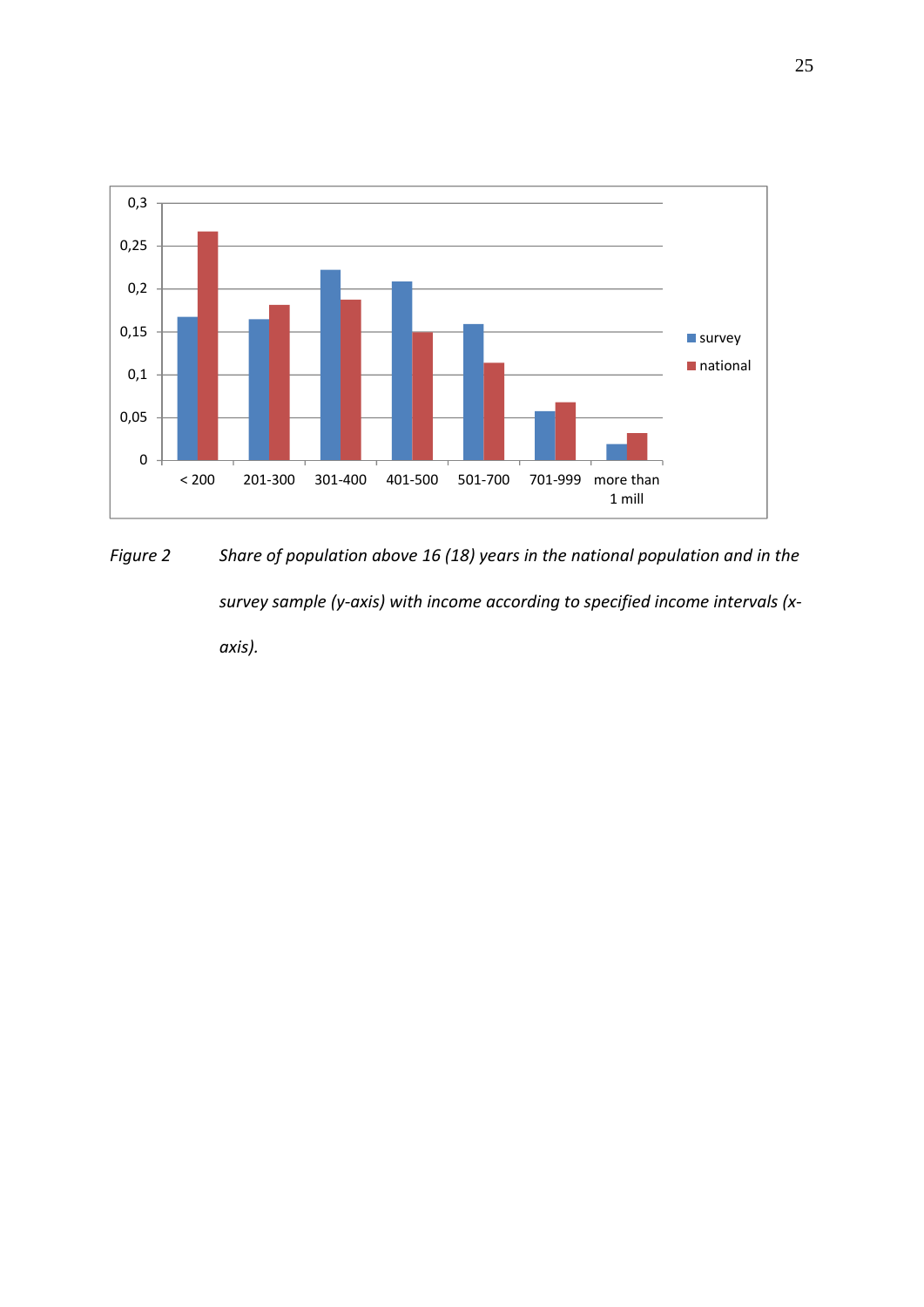

*Figure 2 Share of population above 16 (18) years in the national population and in the survey sample (y‐axis) with income according to specified income intervals (x‐ axis).*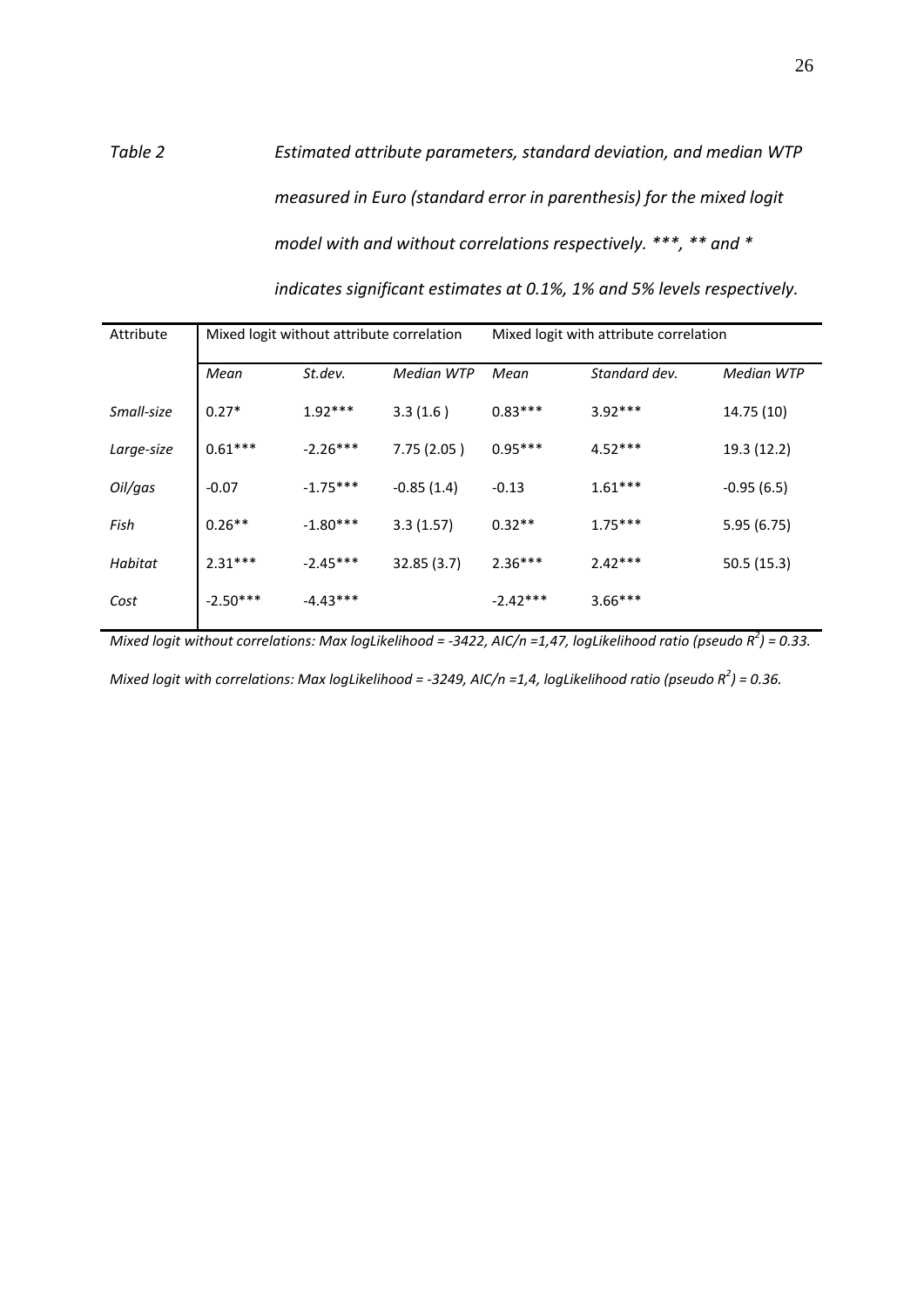## *Table 2 Estimated attribute parameters, standard deviation, and median WTP measured in Euro (standard error in parenthesis) for the mixed logit model with and without correlations respectively. \*\*\*, \*\* and \* indicates significant estimates at 0.1%, 1% and 5% levels respectively.*

| Mixed logit without attribute correlation |            | Mixed logit with attribute correlation |            |               |                   |
|-------------------------------------------|------------|----------------------------------------|------------|---------------|-------------------|
| Mean                                      | St.dev.    | Median WTP                             | Mean       | Standard dev. | <b>Median WTP</b> |
| $0.27*$                                   | $1.92***$  | 3.3(1.6)                               | $0.83***$  | $3.92***$     | 14.75 (10)        |
| $0.61***$                                 | $-2.26***$ | 7.75(2.05)                             | $0.95***$  | $4.52***$     | 19.3 (12.2)       |
| $-0.07$                                   | $-1.75***$ | $-0.85(1.4)$                           | $-0.13$    | $1.61***$     | $-0.95(6.5)$      |
| $0.26**$                                  | $-1.80***$ | 3.3(1.57)                              | $0.32**$   | $1.75***$     | 5.95(6.75)        |
| $2.31***$                                 | $-2.45***$ | 32.85(3.7)                             | $2.36***$  | $2.42***$     | 50.5(15.3)        |
| $-2.50***$                                | $-4.43***$ |                                        | $-2.42***$ | $3.66***$     |                   |
|                                           |            |                                        |            |               |                   |

Mixed logit without correlations: Max logLikelihood = -3422, AIC/n =1,47, logLikelihood ratio (pseudo  $R^2$ ) = 0.33.

Mixed logit with correlations: Max logLikelihood = -3249, AIC/n =1,4, logLikelihood ratio (pseudo  $R^2$ ) = 0.36.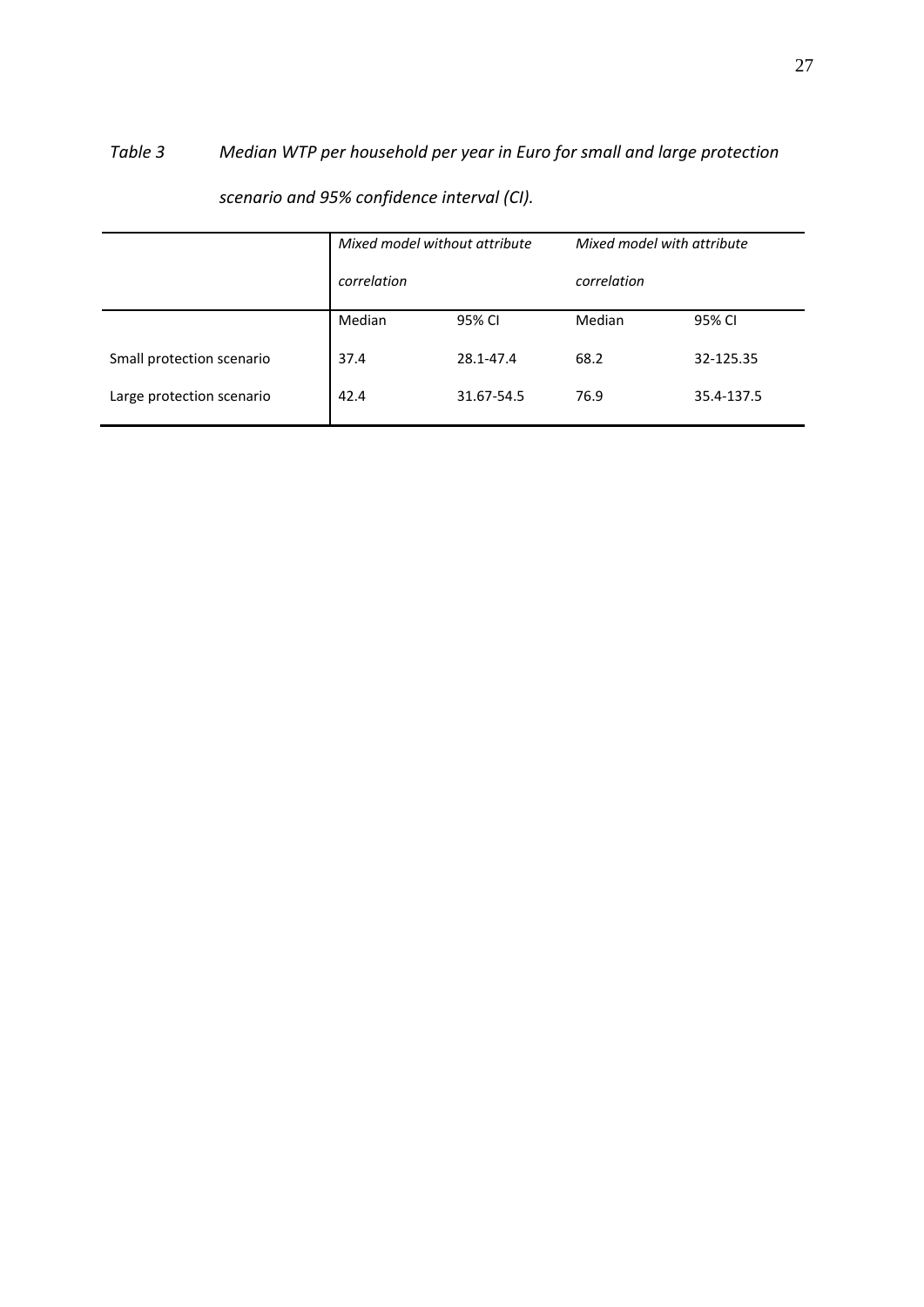# *Table 3 Median WTP per household per year in Euro for small and large protection*

|                           | Mixed model without attribute<br>correlation |            | Mixed model with attribute<br>correlation |            |
|---------------------------|----------------------------------------------|------------|-------------------------------------------|------------|
|                           |                                              |            |                                           |            |
|                           | Median                                       | 95% CI     | Median                                    | 95% CI     |
| Small protection scenario | 37.4                                         | 28.1-47.4  | 68.2                                      | 32-125.35  |
| Large protection scenario | 42.4                                         | 31.67-54.5 | 76.9                                      | 35.4-137.5 |

*scenario and 95% confidence interval (CI).*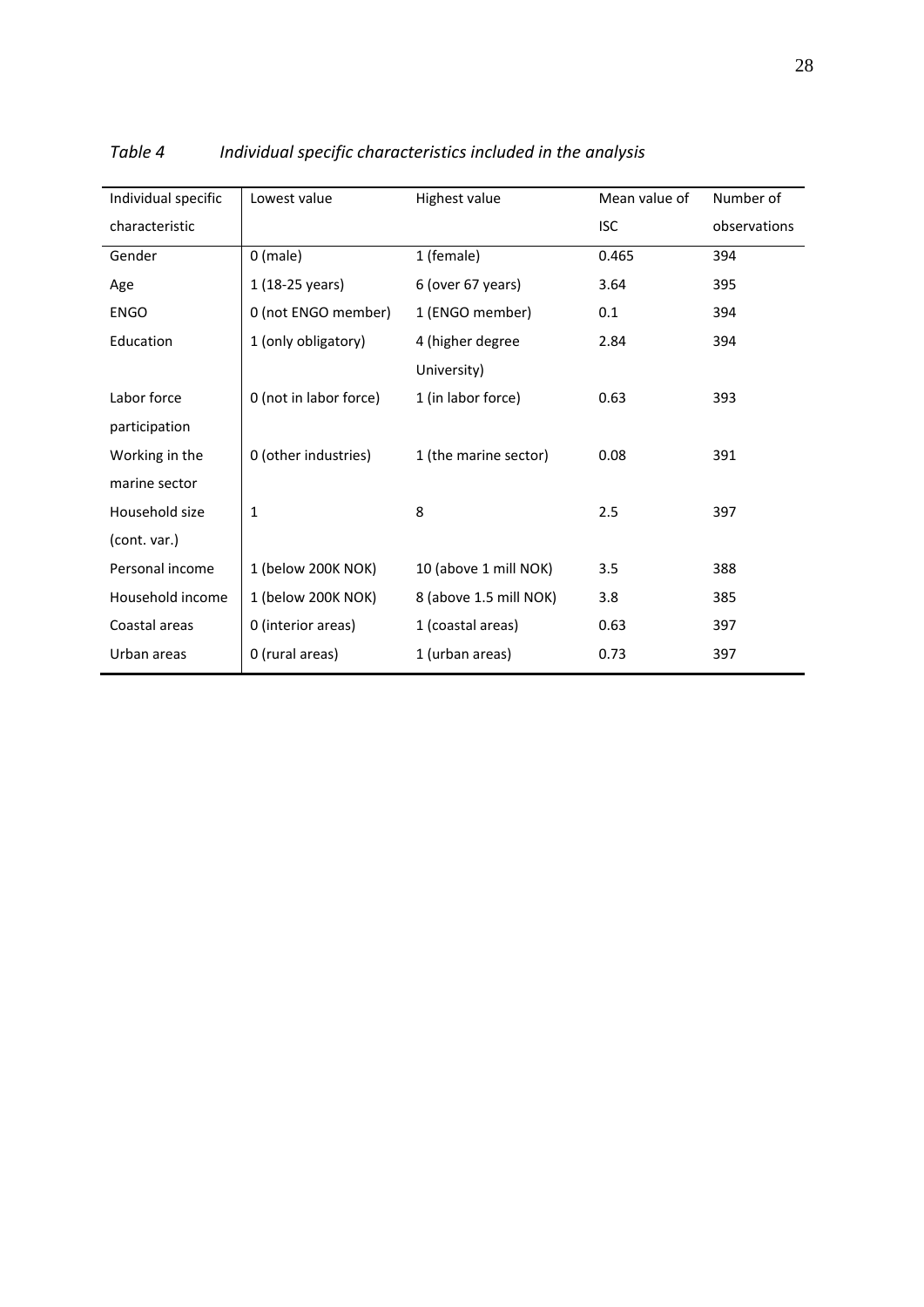| Individual specific | Lowest value           | Highest value          | Mean value of | Number of    |
|---------------------|------------------------|------------------------|---------------|--------------|
| characteristic      |                        |                        | <b>ISC</b>    | observations |
| Gender              | $0$ (male)             | 1 (female)             | 0.465         | 394          |
| Age                 | 1 (18-25 years)        | 6 (over 67 years)      | 3.64          | 395          |
| <b>ENGO</b>         | 0 (not ENGO member)    | 1 (ENGO member)        | 0.1           | 394          |
| Education           | 1 (only obligatory)    | 4 (higher degree       | 2.84          | 394          |
|                     |                        | University)            |               |              |
| Labor force         | 0 (not in labor force) | 1 (in labor force)     | 0.63          | 393          |
| participation       |                        |                        |               |              |
| Working in the      | 0 (other industries)   | 1 (the marine sector)  | 0.08          | 391          |
| marine sector       |                        |                        |               |              |
| Household size      | 1                      | 8                      | 2.5           | 397          |
| (cont. var.)        |                        |                        |               |              |
| Personal income     | 1 (below 200K NOK)     | 10 (above 1 mill NOK)  | 3.5           | 388          |
| Household income    | 1 (below 200K NOK)     | 8 (above 1.5 mill NOK) | 3.8           | 385          |
| Coastal areas       | 0 (interior areas)     | 1 (coastal areas)      | 0.63          | 397          |
| Urban areas         | 0 (rural areas)        | 1 (urban areas)        | 0.73          | 397          |

*Table 4 Individual specific characteristics included in the analysis*